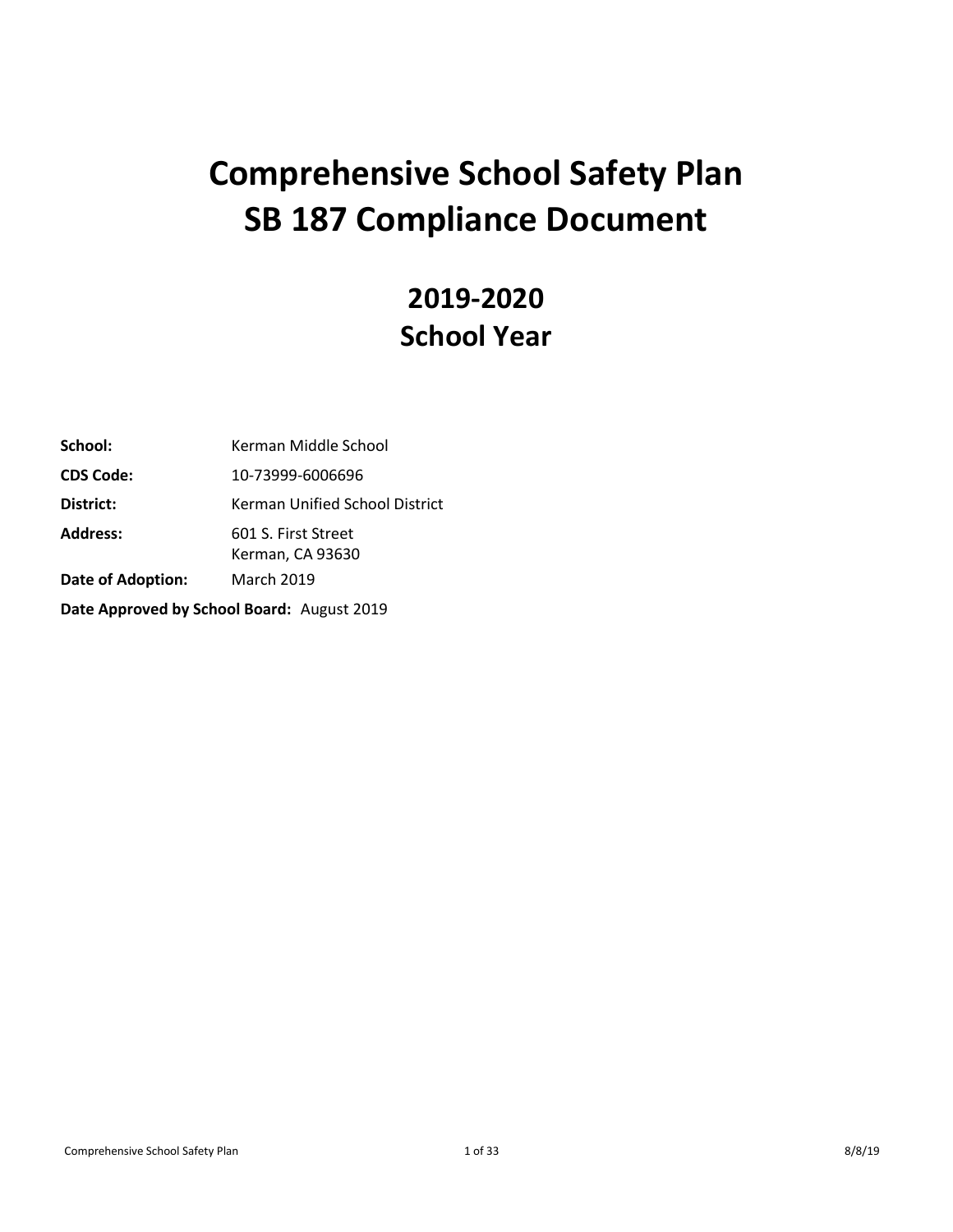# **Comprehensive School Safety Plan SB 187 Compliance Document**

# **2019-2020 School Year**

| School:                                    | Kerman Middle School                    |  |  |  |
|--------------------------------------------|-----------------------------------------|--|--|--|
| <b>CDS Code:</b>                           | 10-73999-6006696                        |  |  |  |
| District:                                  | Kerman Unified School District          |  |  |  |
| <b>Address:</b>                            | 601 S. First Street<br>Kerman, CA 93630 |  |  |  |
| <b>March 2019</b><br>Date of Adoption:     |                                         |  |  |  |
| Date Approved by School Board: August 2019 |                                         |  |  |  |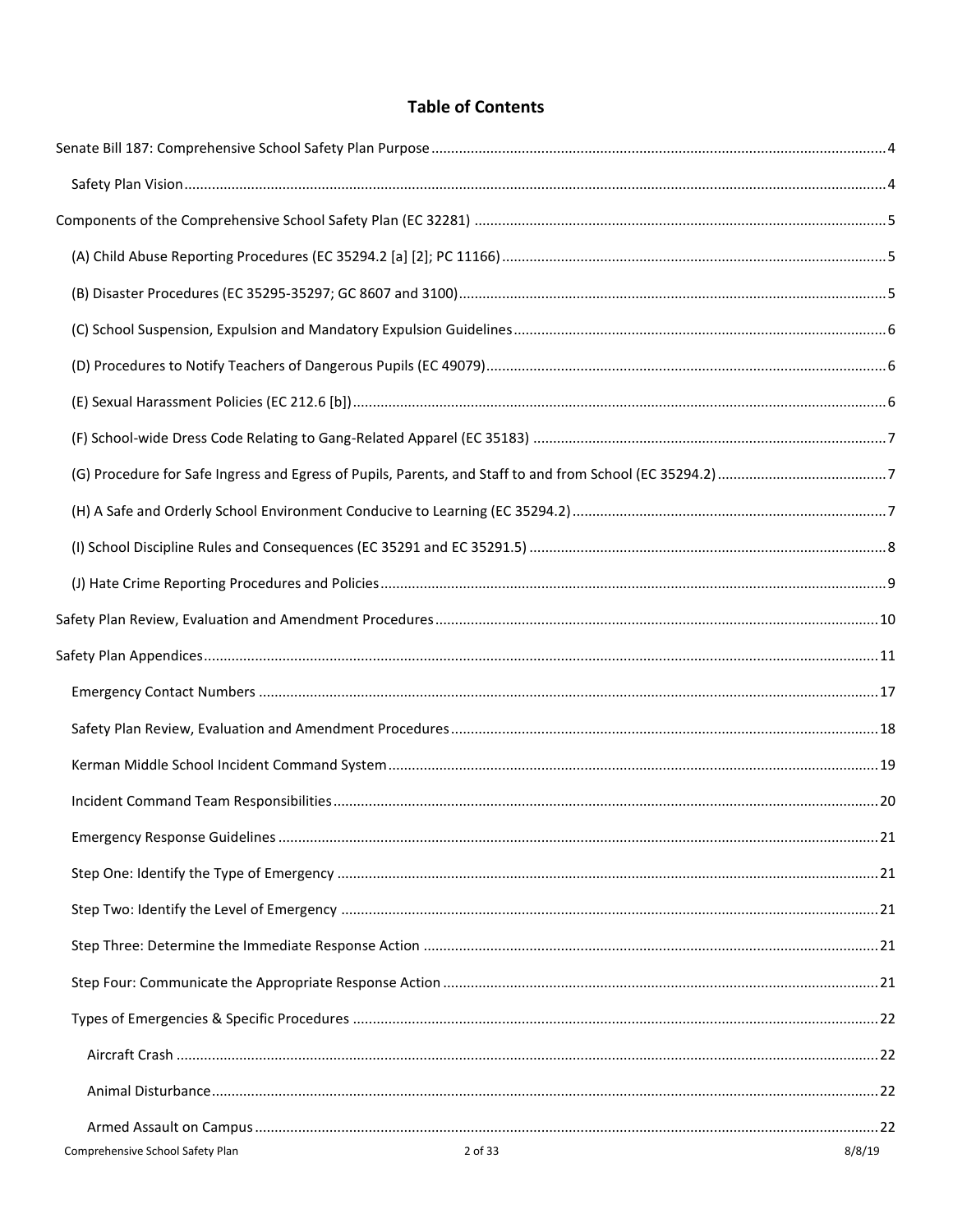# **Table of Contents**

| 2 of 33<br>Comprehensive School Safety Plan | 8/8/19 |
|---------------------------------------------|--------|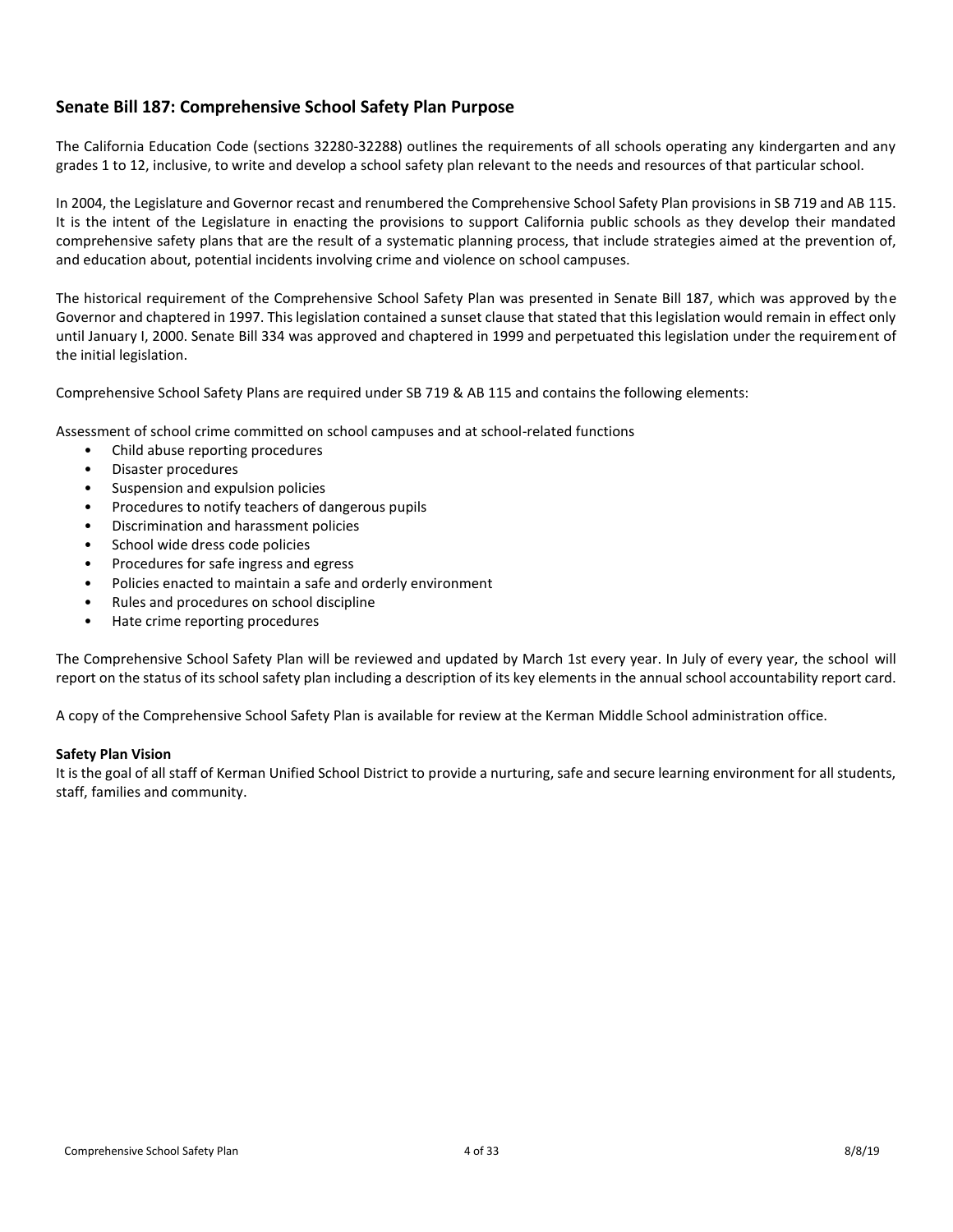# <span id="page-3-0"></span>**Senate Bill 187: Comprehensive School Safety Plan Purpose**

The California Education Code (sections 32280-32288) outlines the requirements of all schools operating any kindergarten and any grades 1 to 12, inclusive, to write and develop a school safety plan relevant to the needs and resources of that particular school.

In 2004, the Legislature and Governor recast and renumbered the Comprehensive School Safety Plan provisions in SB 719 and AB 115. It is the intent of the Legislature in enacting the provisions to support California public schools as they develop their mandated comprehensive safety plans that are the result of a systematic planning process, that include strategies aimed at the prevention of, and education about, potential incidents involving crime and violence on school campuses.

The historical requirement of the Comprehensive School Safety Plan was presented in Senate Bill 187, which was approved by the Governor and chaptered in 1997. This legislation contained a sunset clause that stated that this legislation would remain in effect only until January I, 2000. Senate Bill 334 was approved and chaptered in 1999 and perpetuated this legislation under the requirement of the initial legislation.

Comprehensive School Safety Plans are required under SB 719 & AB 115 and contains the following elements:

Assessment of school crime committed on school campuses and at school-related functions

- Child abuse reporting procedures
- Disaster procedures
- Suspension and expulsion policies
- Procedures to notify teachers of dangerous pupils
- Discrimination and harassment policies
- School wide dress code policies
- Procedures for safe ingress and egress
- Policies enacted to maintain a safe and orderly environment
- Rules and procedures on school discipline
- Hate crime reporting procedures

The Comprehensive School Safety Plan will be reviewed and updated by March 1st every year. In July of every year, the school will report on the status of its school safety plan including a description of its key elements in the annual school accountability report card.

A copy of the Comprehensive School Safety Plan is available for review at the Kerman Middle School administration office.

#### <span id="page-3-1"></span>**Safety Plan Vision**

It is the goal of all staff of Kerman Unified School District to provide a nurturing, safe and secure learning environment for all students, staff, families and community.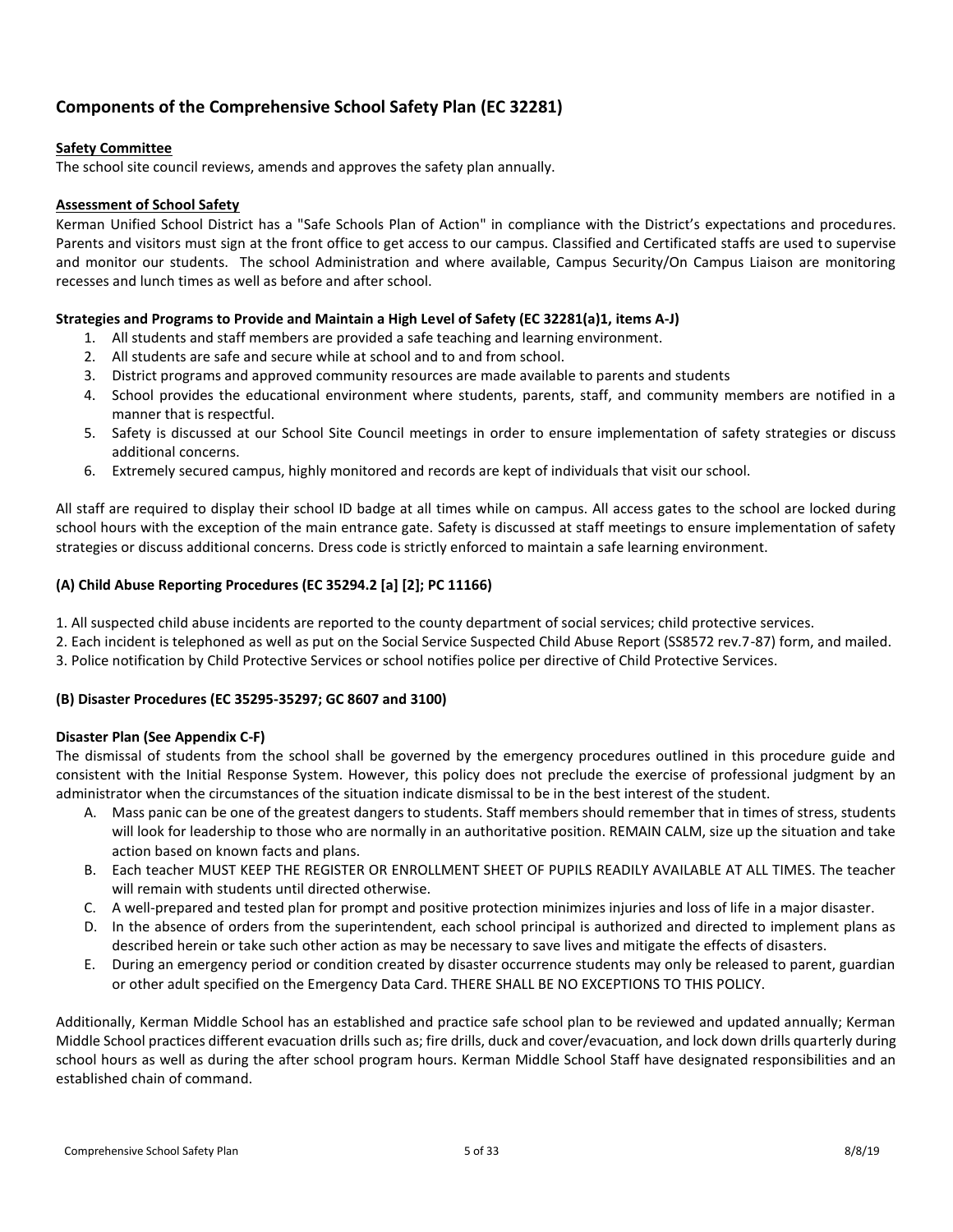# <span id="page-4-0"></span>**Components of the Comprehensive School Safety Plan (EC 32281)**

## **Safety Committee**

The school site council reviews, amends and approves the safety plan annually.

## **Assessment of School Safety**

Kerman Unified School District has a "Safe Schools Plan of Action" in compliance with the District's expectations and procedures. Parents and visitors must sign at the front office to get access to our campus. Classified and Certificated staffs are used to supervise and monitor our students. The school Administration and where available, Campus Security/On Campus Liaison are monitoring recesses and lunch times as well as before and after school.

## **Strategies and Programs to Provide and Maintain a High Level of Safety (EC 32281(a)1, items A-J)**

- 1. All students and staff members are provided a safe teaching and learning environment.
- 2. All students are safe and secure while at school and to and from school.
- 3. District programs and approved community resources are made available to parents and students
- 4. School provides the educational environment where students, parents, staff, and community members are notified in a manner that is respectful.
- 5. Safety is discussed at our School Site Council meetings in order to ensure implementation of safety strategies or discuss additional concerns.
- 6. Extremely secured campus, highly monitored and records are kept of individuals that visit our school.

All staff are required to display their school ID badge at all times while on campus. All access gates to the school are locked during school hours with the exception of the main entrance gate. Safety is discussed at staff meetings to ensure implementation of safety strategies or discuss additional concerns. Dress code is strictly enforced to maintain a safe learning environment.

## <span id="page-4-1"></span>**(A) Child Abuse Reporting Procedures (EC 35294.2 [a] [2]; PC 11166)**

- 1. All suspected child abuse incidents are reported to the county department of social services; child protective services.
- 2. Each incident is telephoned as well as put on the Social Service Suspected Child Abuse Report (SS8572 rev.7-87) form, and mailed.
- 3. Police notification by Child Protective Services or school notifies police per directive of Child Protective Services.

## <span id="page-4-2"></span>**(B) Disaster Procedures (EC 35295-35297; GC 8607 and 3100)**

## **Disaster Plan (See Appendix C-F)**

The dismissal of students from the school shall be governed by the emergency procedures outlined in this procedure guide and consistent with the Initial Response System. However, this policy does not preclude the exercise of professional judgment by an administrator when the circumstances of the situation indicate dismissal to be in the best interest of the student.

- A. Mass panic can be one of the greatest dangers to students. Staff members should remember that in times of stress, students will look for leadership to those who are normally in an authoritative position. REMAIN CALM, size up the situation and take action based on known facts and plans.
- B. Each teacher MUST KEEP THE REGISTER OR ENROLLMENT SHEET OF PUPILS READILY AVAILABLE AT ALL TIMES. The teacher will remain with students until directed otherwise.
- C. A well-prepared and tested plan for prompt and positive protection minimizes injuries and loss of life in a major disaster.
- D. In the absence of orders from the superintendent, each school principal is authorized and directed to implement plans as described herein or take such other action as may be necessary to save lives and mitigate the effects of disasters.
- E. During an emergency period or condition created by disaster occurrence students may only be released to parent, guardian or other adult specified on the Emergency Data Card. THERE SHALL BE NO EXCEPTIONS TO THIS POLICY.

Additionally, Kerman Middle School has an established and practice safe school plan to be reviewed and updated annually; Kerman Middle School practices different evacuation drills such as; fire drills, duck and cover/evacuation, and lock down drills quarterly during school hours as well as during the after school program hours. Kerman Middle School Staff have designated responsibilities and an established chain of command.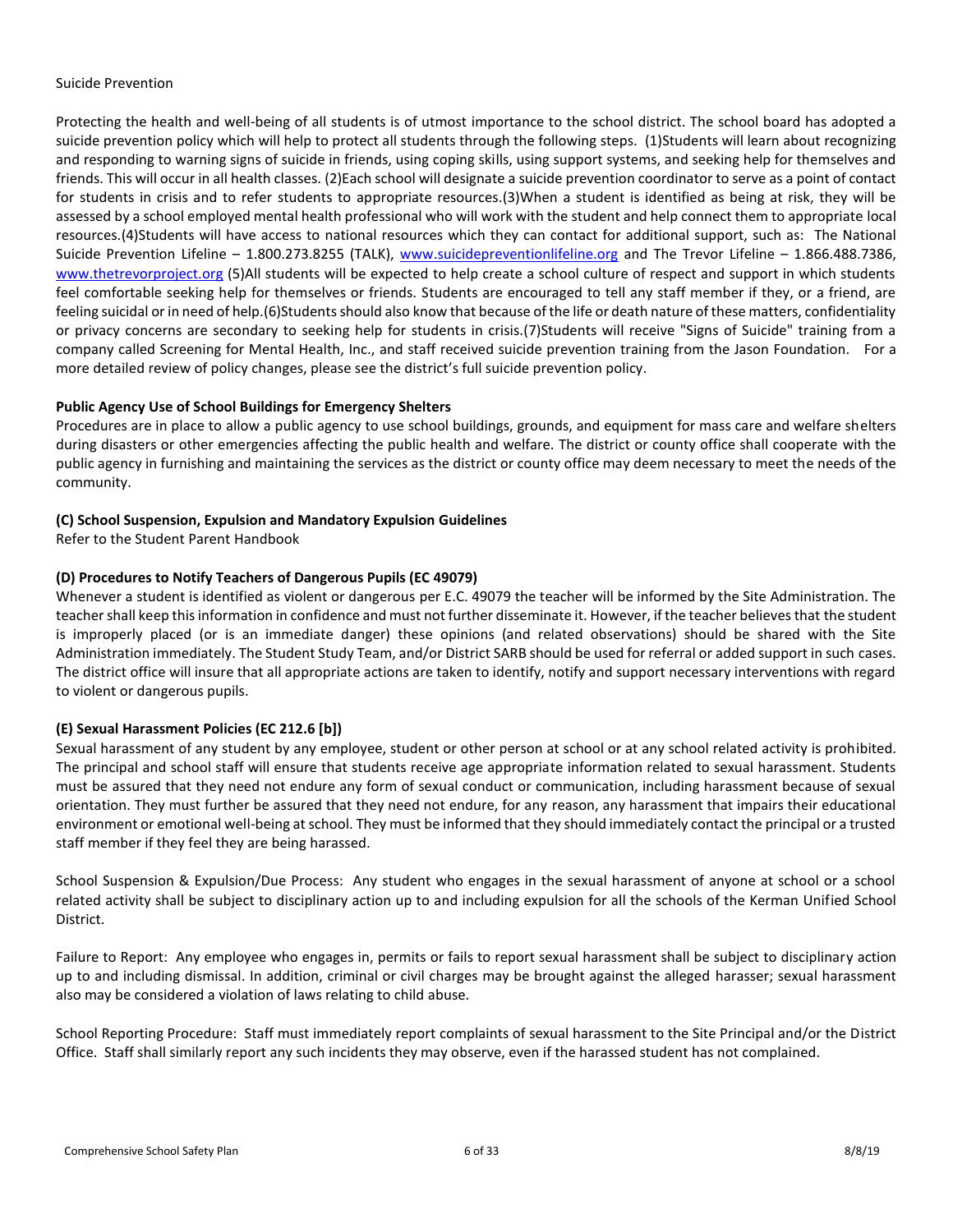#### Suicide Prevention

Protecting the health and well-being of all students is of utmost importance to the school district. The school board has adopted a suicide prevention policy which will help to protect all students through the following steps. (1)Students will learn about recognizing and responding to warning signs of suicide in friends, using coping skills, using support systems, and seeking help for themselves and friends. This will occur in all health classes. (2)Each school will designate a suicide prevention coordinator to serve as a point of contact for students in crisis and to refer students to appropriate resources.(3)When a student is identified as being at risk, they will be assessed by a school employed mental health professional who will work with the student and help connect them to appropriate local resources.(4)Students will have access to national resources which they can contact for additional support, such as: The National Suicide Prevention Lifeline – 1.800.273.8255 (TALK), [www.suicidepreventionlifeline.org](http://www.suicidepreventionlifeline.org/) and The Trevor Lifeline – 1.866.488.7386, [www.thetrevorproject.org](http://www.thetrevorproject.org/) (5)All students will be expected to help create a school culture of respect and support in which students feel comfortable seeking help for themselves or friends. Students are encouraged to tell any staff member if they, or a friend, are feeling suicidal or in need of help.(6)Students should also know that because of the life or death nature of these matters, confidentiality or privacy concerns are secondary to seeking help for students in crisis.(7)Students will receive "Signs of Suicide" training from a company called Screening for Mental Health, Inc., and staff received suicide prevention training from the Jason Foundation. For a more detailed review of policy changes, please see the district's full suicide prevention policy.

#### **Public Agency Use of School Buildings for Emergency Shelters**

Procedures are in place to allow a public agency to use school buildings, grounds, and equipment for mass care and welfare shelters during disasters or other emergencies affecting the public health and welfare. The district or county office shall cooperate with the public agency in furnishing and maintaining the services as the district or county office may deem necessary to meet the needs of the community.

#### <span id="page-5-0"></span>**(C) School Suspension, Expulsion and Mandatory Expulsion Guidelines**

Refer to the Student Parent Handbook

#### <span id="page-5-1"></span>**(D) Procedures to Notify Teachers of Dangerous Pupils (EC 49079)**

Whenever a student is identified as violent or dangerous per E.C. 49079 the teacher will be informed by the Site Administration. The teacher shall keep this information in confidence and must not further disseminate it. However, if the teacher believes that the student is improperly placed (or is an immediate danger) these opinions (and related observations) should be shared with the Site Administration immediately. The Student Study Team, and/or District SARB should be used for referral or added support in such cases. The district office will insure that all appropriate actions are taken to identify, notify and support necessary interventions with regard to violent or dangerous pupils.

## <span id="page-5-2"></span>**(E) Sexual Harassment Policies (EC 212.6 [b])**

Sexual harassment of any student by any employee, student or other person at school or at any school related activity is prohibited. The principal and school staff will ensure that students receive age appropriate information related to sexual harassment. Students must be assured that they need not endure any form of sexual conduct or communication, including harassment because of sexual orientation. They must further be assured that they need not endure, for any reason, any harassment that impairs their educational environment or emotional well-being at school. They must be informed that they should immediately contact the principal or a trusted staff member if they feel they are being harassed.

School Suspension & Expulsion/Due Process: Any student who engages in the sexual harassment of anyone at school or a school related activity shall be subject to disciplinary action up to and including expulsion for all the schools of the Kerman Unified School District.

Failure to Report: Any employee who engages in, permits or fails to report sexual harassment shall be subject to disciplinary action up to and including dismissal. In addition, criminal or civil charges may be brought against the alleged harasser; sexual harassment also may be considered a violation of laws relating to child abuse.

School Reporting Procedure: Staff must immediately report complaints of sexual harassment to the Site Principal and/or the District Office. Staff shall similarly report any such incidents they may observe, even if the harassed student has not complained.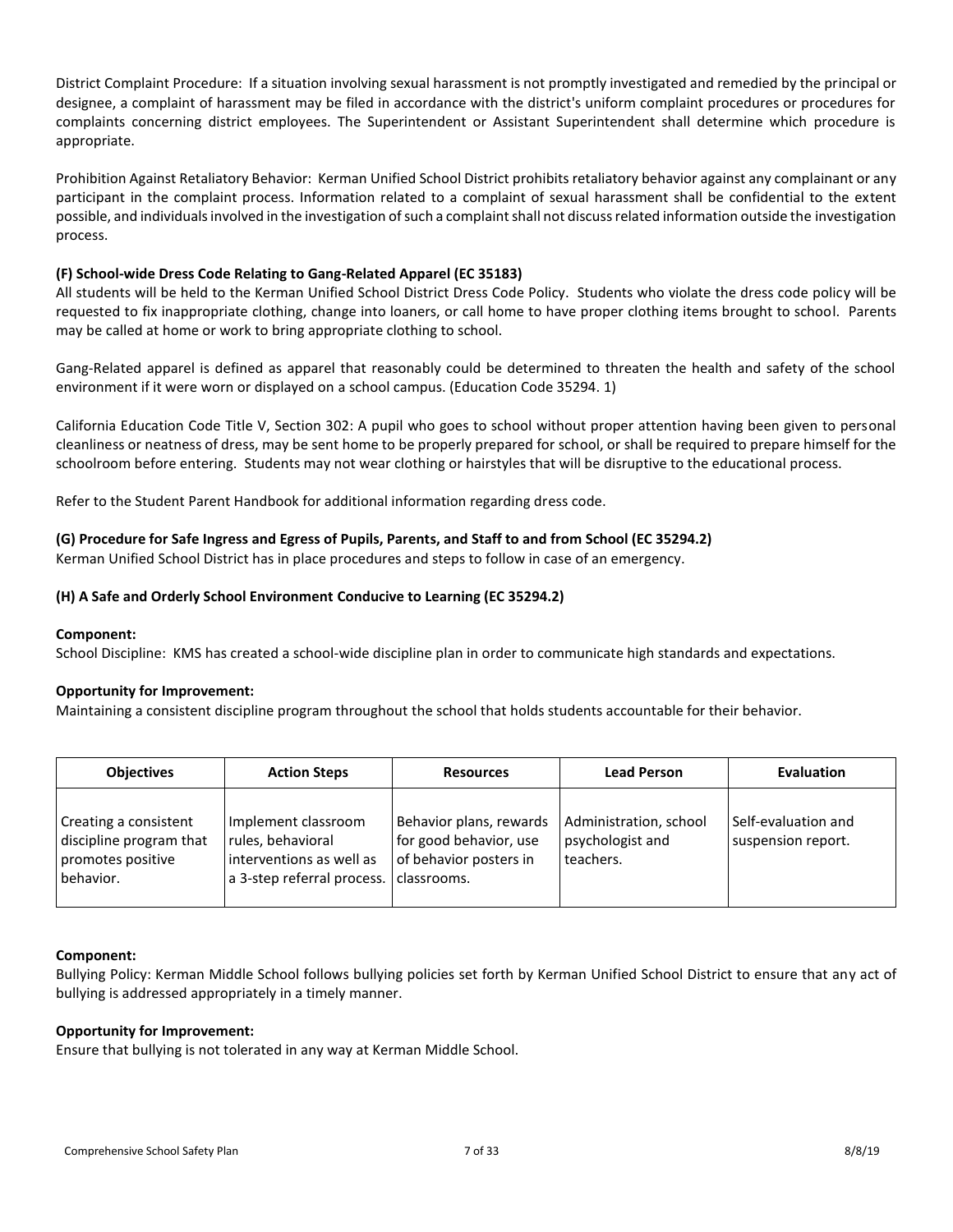District Complaint Procedure: If a situation involving sexual harassment is not promptly investigated and remedied by the principal or designee, a complaint of harassment may be filed in accordance with the district's uniform complaint procedures or procedures for complaints concerning district employees. The Superintendent or Assistant Superintendent shall determine which procedure is appropriate.

Prohibition Against Retaliatory Behavior: Kerman Unified School District prohibits retaliatory behavior against any complainant or any participant in the complaint process. Information related to a complaint of sexual harassment shall be confidential to the extent possible, and individuals involved in the investigation of such a complaint shall not discuss related information outside the investigation process.

## <span id="page-6-0"></span>**(F) School-wide Dress Code Relating to Gang-Related Apparel (EC 35183)**

All students will be held to the Kerman Unified School District Dress Code Policy. Students who violate the dress code policy will be requested to fix inappropriate clothing, change into loaners, or call home to have proper clothing items brought to school. Parents may be called at home or work to bring appropriate clothing to school.

Gang-Related apparel is defined as apparel that reasonably could be determined to threaten the health and safety of the school environment if it were worn or displayed on a school campus. (Education Code 35294. 1)

California Education Code Title V, Section 302: A pupil who goes to school without proper attention having been given to personal cleanliness or neatness of dress, may be sent home to be properly prepared for school, or shall be required to prepare himself for the schoolroom before entering. Students may not wear clothing or hairstyles that will be disruptive to the educational process.

Refer to the Student Parent Handbook for additional information regarding dress code.

## <span id="page-6-1"></span>**(G) Procedure for Safe Ingress and Egress of Pupils, Parents, and Staff to and from School (EC 35294.2)**

Kerman Unified School District has in place procedures and steps to follow in case of an emergency.

## <span id="page-6-2"></span>**(H) A Safe and Orderly School Environment Conducive to Learning (EC 35294.2)**

## **Component:**

School Discipline: KMS has created a school-wide discipline plan in order to communicate high standards and expectations.

## **Opportunity for Improvement:**

Maintaining a consistent discipline program throughout the school that holds students accountable for their behavior.

| <b>Objectives</b>                                                                  | <b>Action Steps</b>                                                                                              | <b>Resources</b>                                                            | <b>Lead Person</b>                                      | <b>Evaluation</b>                         |
|------------------------------------------------------------------------------------|------------------------------------------------------------------------------------------------------------------|-----------------------------------------------------------------------------|---------------------------------------------------------|-------------------------------------------|
| Creating a consistent<br>discipline program that<br>promotes positive<br>behavior. | Implement classroom<br>rules, behavioral<br>interventions as well as<br>a 3-step referral process.   classrooms. | Behavior plans, rewards<br>for good behavior, use<br>of behavior posters in | Administration, school<br>psychologist and<br>teachers. | Self-evaluation and<br>suspension report. |

## **Component:**

Bullying Policy: Kerman Middle School follows bullying policies set forth by Kerman Unified School District to ensure that any act of bullying is addressed appropriately in a timely manner.

## **Opportunity for Improvement:**

Ensure that bullying is not tolerated in any way at Kerman Middle School.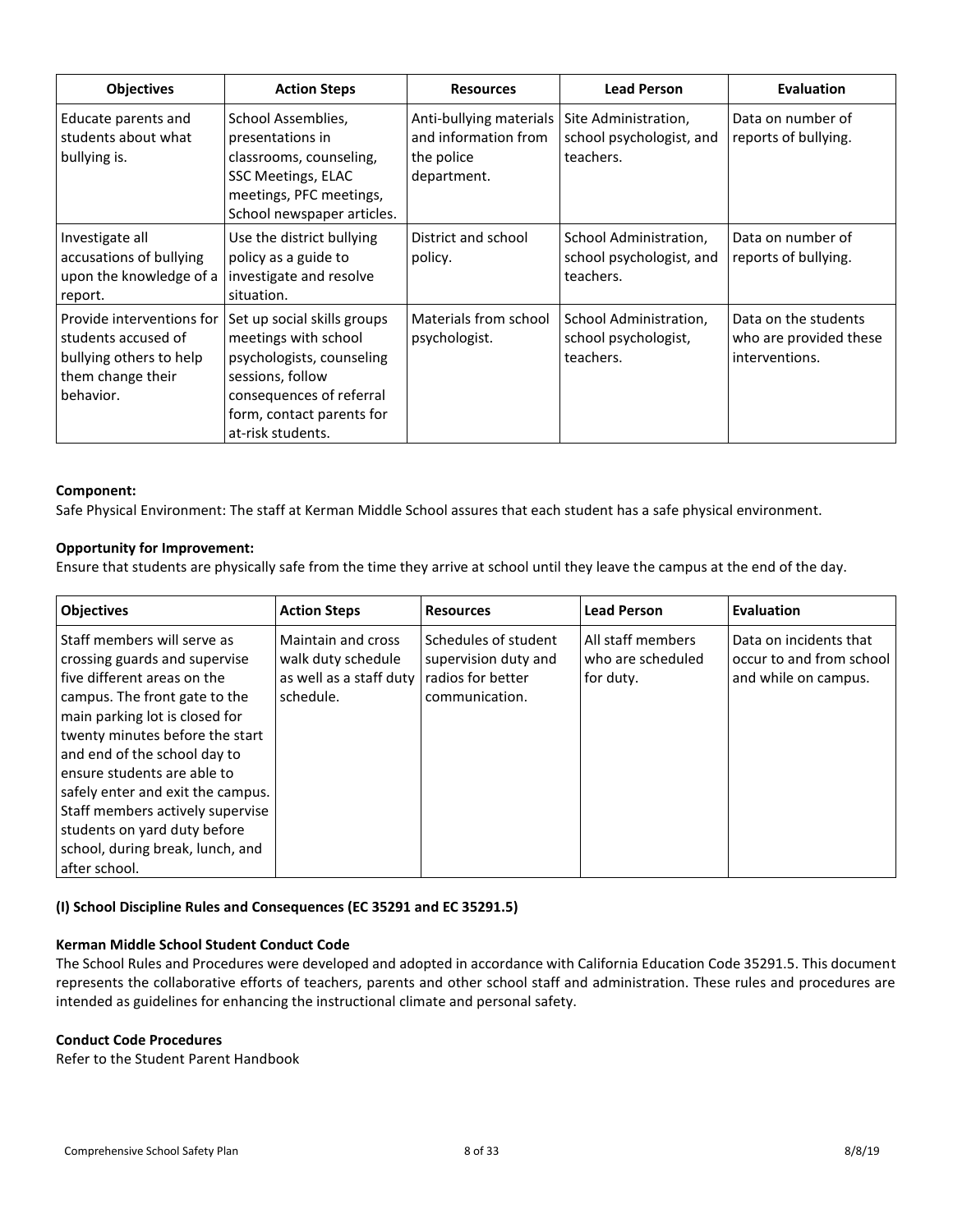| <b>Objectives</b>                                                                                             | <b>Action Steps</b>                                                                                                                                                                | <b>Resources</b>                                                             | <b>Lead Person</b>                                              | Evaluation                                                       |
|---------------------------------------------------------------------------------------------------------------|------------------------------------------------------------------------------------------------------------------------------------------------------------------------------------|------------------------------------------------------------------------------|-----------------------------------------------------------------|------------------------------------------------------------------|
| Educate parents and<br>students about what<br>bullying is.                                                    | School Assemblies,<br>presentations in<br>classrooms, counseling,<br>SSC Meetings, ELAC<br>meetings, PFC meetings,<br>School newspaper articles.                                   | Anti-bullying materials<br>and information from<br>the police<br>department. | Site Administration,<br>school psychologist, and<br>teachers.   | Data on number of<br>reports of bullying.                        |
| Investigate all<br>accusations of bullying<br>upon the knowledge of a<br>report.                              | Use the district bullying<br>policy as a guide to<br>investigate and resolve<br>situation.                                                                                         | District and school<br>policy.                                               | School Administration,<br>school psychologist, and<br>teachers. | Data on number of<br>reports of bullying.                        |
| Provide interventions for<br>students accused of<br>bullying others to help<br>them change their<br>behavior. | Set up social skills groups<br>meetings with school<br>psychologists, counseling<br>sessions, follow<br>consequences of referral<br>form, contact parents for<br>at-risk students. | Materials from school<br>psychologist.                                       | School Administration,<br>school psychologist,<br>teachers.     | Data on the students<br>who are provided these<br>interventions. |

#### **Component:**

Safe Physical Environment: The staff at Kerman Middle School assures that each student has a safe physical environment.

## **Opportunity for Improvement:**

Ensure that students are physically safe from the time they arrive at school until they leave the campus at the end of the day.

| <b>Objectives</b>                                                                                                                                                                                                                                                                                                                                                                                                              | <b>Action Steps</b>                                                              | <b>Resources</b>                                                                    | <b>Lead Person</b>                                  | Evaluation                                                                 |
|--------------------------------------------------------------------------------------------------------------------------------------------------------------------------------------------------------------------------------------------------------------------------------------------------------------------------------------------------------------------------------------------------------------------------------|----------------------------------------------------------------------------------|-------------------------------------------------------------------------------------|-----------------------------------------------------|----------------------------------------------------------------------------|
| Staff members will serve as<br>crossing guards and supervise<br>five different areas on the<br>campus. The front gate to the<br>main parking lot is closed for<br>twenty minutes before the start<br>and end of the school day to<br>ensure students are able to<br>safely enter and exit the campus.<br>Staff members actively supervise<br>students on yard duty before<br>school, during break, lunch, and<br>after school. | Maintain and cross<br>walk duty schedule<br>as well as a staff duty<br>schedule. | Schedules of student<br>supervision duty and<br>radios for better<br>communication. | All staff members<br>who are scheduled<br>for duty. | Data on incidents that<br>occur to and from school<br>and while on campus. |

## <span id="page-7-0"></span>**(I) School Discipline Rules and Consequences (EC 35291 and EC 35291.5)**

#### **Kerman Middle School Student Conduct Code**

The School Rules and Procedures were developed and adopted in accordance with California Education Code 35291.5. This document represents the collaborative efforts of teachers, parents and other school staff and administration. These rules and procedures are intended as guidelines for enhancing the instructional climate and personal safety.

#### **Conduct Code Procedures**

Refer to the Student Parent Handbook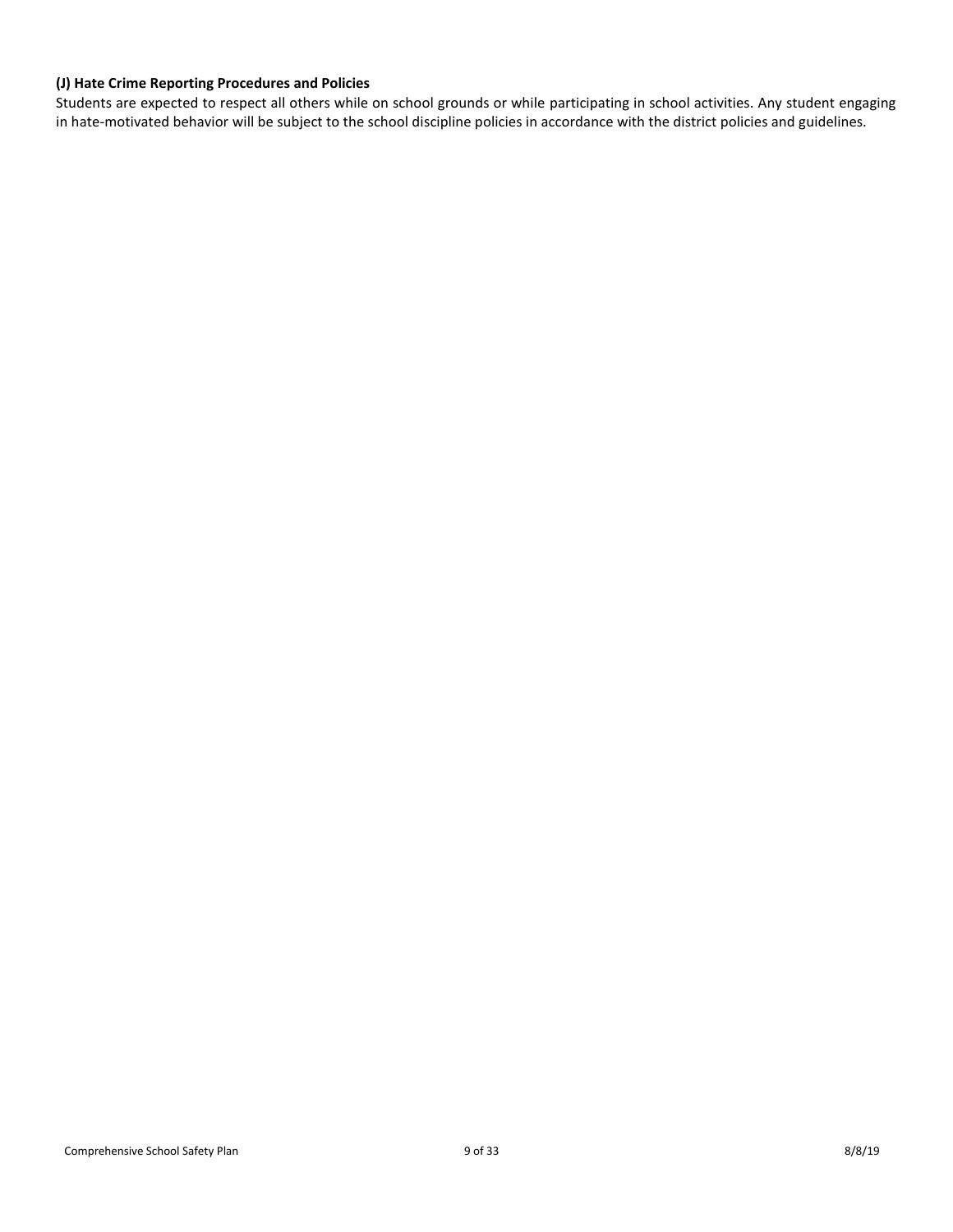## <span id="page-8-0"></span>**(J) Hate Crime Reporting Procedures and Policies**

Students are expected to respect all others while on school grounds or while participating in school activities. Any student engaging in hate-motivated behavior will be subject to the school discipline policies in accordance with the district policies and guidelines.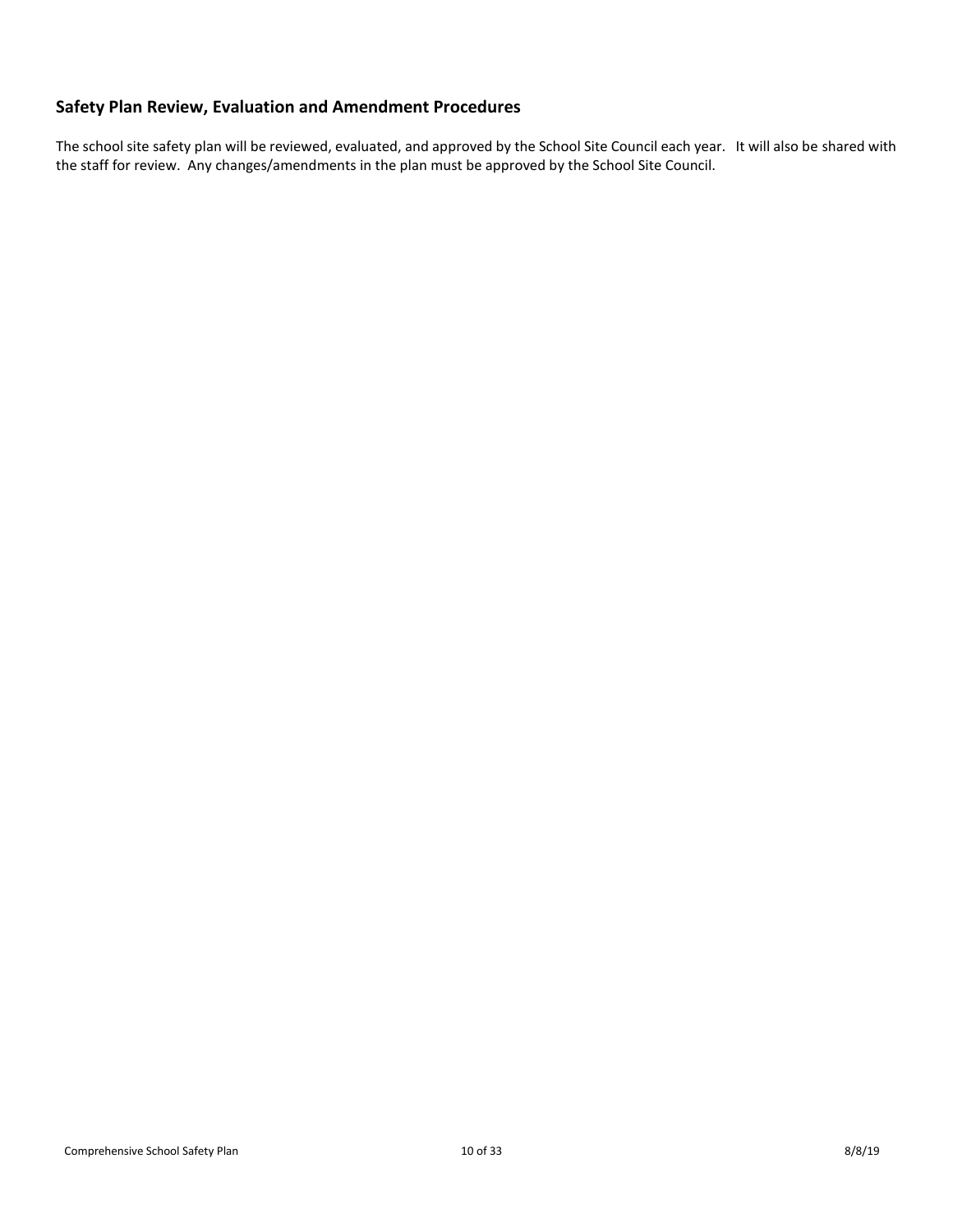# <span id="page-9-0"></span>**Safety Plan Review, Evaluation and Amendment Procedures**

The school site safety plan will be reviewed, evaluated, and approved by the School Site Council each year. It will also be shared with the staff for review. Any changes/amendments in the plan must be approved by the School Site Council.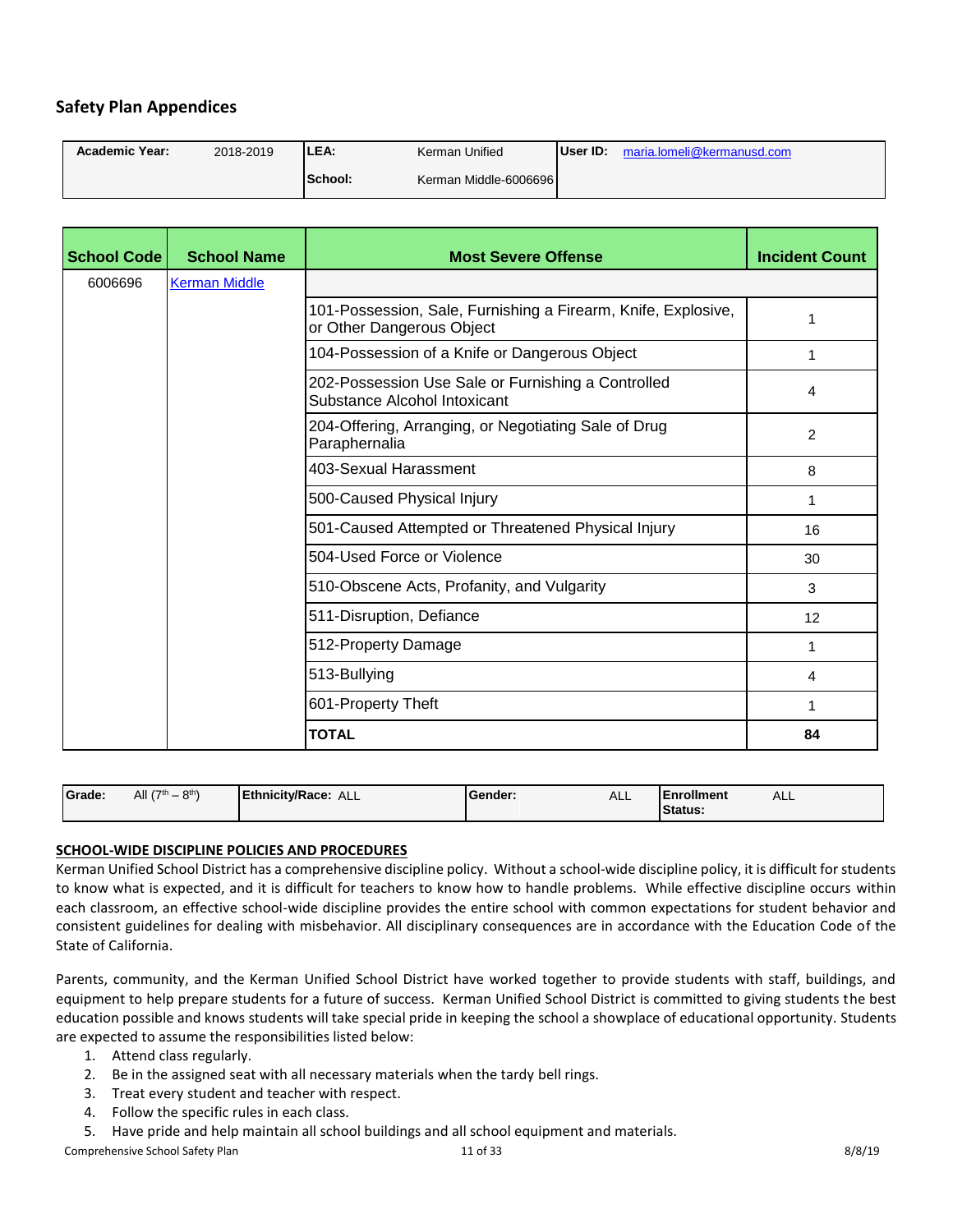# <span id="page-10-0"></span>**Safety Plan Appendices**

| <b>Academic Year:</b> | 2018-2019 | LEA:    | Kerman Unified        | User ID: | maria.lomeli@kermanusd.com |
|-----------------------|-----------|---------|-----------------------|----------|----------------------------|
|                       |           | School: | Kerman Middle-6006696 |          |                            |

| School Code | <b>School Name</b>   | <b>Most Severe Offense</b>                                                                 | <b>Incident Count</b> |
|-------------|----------------------|--------------------------------------------------------------------------------------------|-----------------------|
| 6006696     | <b>Kerman Middle</b> |                                                                                            |                       |
|             |                      | 101-Possession, Sale, Furnishing a Firearm, Knife, Explosive,<br>or Other Dangerous Object | 1                     |
|             |                      | 104-Possession of a Knife or Dangerous Object                                              | 1                     |
|             |                      | 202-Possession Use Sale or Furnishing a Controlled<br>Substance Alcohol Intoxicant         | 4                     |
|             |                      | 204-Offering, Arranging, or Negotiating Sale of Drug<br>Paraphernalia                      | 2                     |
|             |                      | 403-Sexual Harassment                                                                      | 8                     |
|             |                      | 500-Caused Physical Injury                                                                 | 1                     |
|             |                      | 501-Caused Attempted or Threatened Physical Injury                                         | 16                    |
|             |                      | 504-Used Force or Violence                                                                 | 30                    |
|             |                      | 510-Obscene Acts, Profanity, and Vulgarity                                                 | 3                     |
|             |                      | 511-Disruption, Defiance                                                                   | 12                    |
|             |                      | 512-Property Damage                                                                        | 1                     |
|             |                      | 513-Bullying                                                                               | $\overline{4}$        |
|             |                      | 601-Property Theft                                                                         | 1                     |
|             |                      | <b>TOTAL</b>                                                                               | 84                    |

| Grade: | $-8$ <sup>th</sup><br>All $(7th$ | <b>Ethnicity/Race:</b><br>ALL | <b>IGender:</b> | <b>ALL</b> | <b>IEnrollment</b><br>Status. | ALL |
|--------|----------------------------------|-------------------------------|-----------------|------------|-------------------------------|-----|
|--------|----------------------------------|-------------------------------|-----------------|------------|-------------------------------|-----|

## **SCHOOL-WIDE DISCIPLINE POLICIES AND PROCEDURES**

Kerman Unified School District has a comprehensive discipline policy. Without a school-wide discipline policy, it is difficult for students to know what is expected, and it is difficult for teachers to know how to handle problems. While effective discipline occurs within each classroom, an effective school-wide discipline provides the entire school with common expectations for student behavior and consistent guidelines for dealing with misbehavior. All disciplinary consequences are in accordance with the Education Code of the State of California.

Parents, community, and the Kerman Unified School District have worked together to provide students with staff, buildings, and equipment to help prepare students for a future of success. Kerman Unified School District is committed to giving students the best education possible and knows students will take special pride in keeping the school a showplace of educational opportunity. Students are expected to assume the responsibilities listed below:

- 1. Attend class regularly.
- 2. Be in the assigned seat with all necessary materials when the tardy bell rings.
- 3. Treat every student and teacher with respect.
- 4. Follow the specific rules in each class.
- 5. Have pride and help maintain all school buildings and all school equipment and materials.

Comprehensive School Safety Plan 8/8/19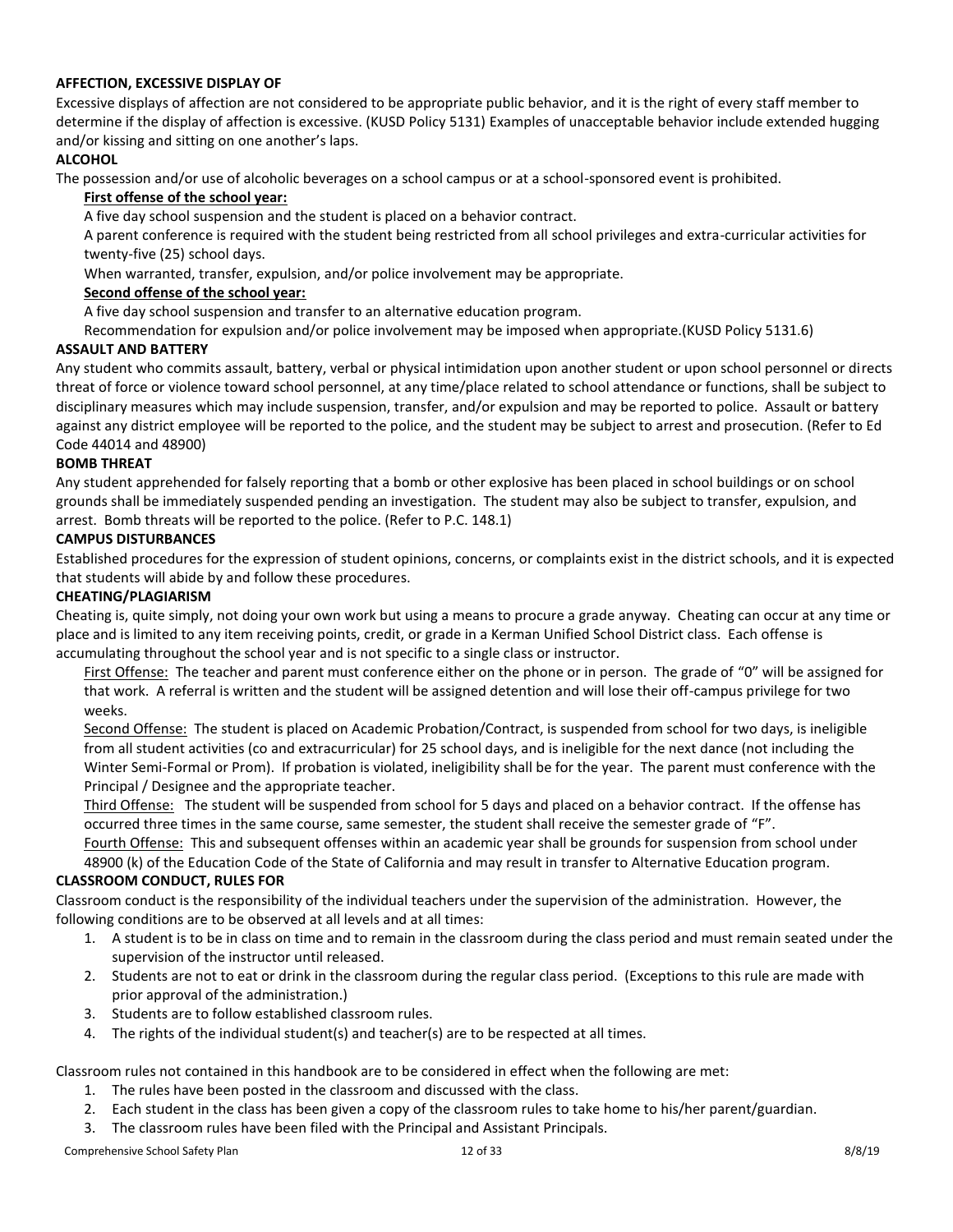## **AFFECTION, EXCESSIVE DISPLAY OF**

Excessive displays of affection are not considered to be appropriate public behavior, and it is the right of every staff member to determine if the display of affection is excessive. (KUSD Policy 5131) Examples of unacceptable behavior include extended hugging and/or kissing and sitting on one another's laps.

## **ALCOHOL**

The possession and/or use of alcoholic beverages on a school campus or at a school-sponsored event is prohibited.

## **First offense of the school year:**

A five day school suspension and the student is placed on a behavior contract.

A parent conference is required with the student being restricted from all school privileges and extra-curricular activities for twenty-five (25) school days.

When warranted, transfer, expulsion, and/or police involvement may be appropriate.

## **Second offense of the school year:**

A five day school suspension and transfer to an alternative education program.

Recommendation for expulsion and/or police involvement may be imposed when appropriate.(KUSD Policy 5131.6)

## **ASSAULT AND BATTERY**

Any student who commits assault, battery, verbal or physical intimidation upon another student or upon school personnel or directs threat of force or violence toward school personnel, at any time/place related to school attendance or functions, shall be subject to disciplinary measures which may include suspension, transfer, and/or expulsion and may be reported to police. Assault or battery against any district employee will be reported to the police, and the student may be subject to arrest and prosecution. (Refer to Ed Code 44014 and 48900)

## **BOMB THREAT**

Any student apprehended for falsely reporting that a bomb or other explosive has been placed in school buildings or on school grounds shall be immediately suspended pending an investigation. The student may also be subject to transfer, expulsion, and arrest. Bomb threats will be reported to the police. (Refer to P.C. 148.1)

## **CAMPUS DISTURBANCES**

Established procedures for the expression of student opinions, concerns, or complaints exist in the district schools, and it is expected that students will abide by and follow these procedures.

## **CHEATING/PLAGIARISM**

Cheating is, quite simply, not doing your own work but using a means to procure a grade anyway. Cheating can occur at any time or place and is limited to any item receiving points, credit, or grade in a Kerman Unified School District class. Each offense is accumulating throughout the school year and is not specific to a single class or instructor.

First Offense: The teacher and parent must conference either on the phone or in person. The grade of "0" will be assigned for that work. A referral is written and the student will be assigned detention and will lose their off-campus privilege for two weeks.

Second Offense: The student is placed on Academic Probation/Contract, is suspended from school for two days, is ineligible from all student activities (co and extracurricular) for 25 school days, and is ineligible for the next dance (not including the Winter Semi-Formal or Prom). If probation is violated, ineligibility shall be for the year. The parent must conference with the Principal / Designee and the appropriate teacher.

Third Offense: The student will be suspended from school for 5 days and placed on a behavior contract. If the offense has occurred three times in the same course, same semester, the student shall receive the semester grade of "F".

Fourth Offense: This and subsequent offenses within an academic year shall be grounds for suspension from school under 48900 (k) of the Education Code of the State of California and may result in transfer to Alternative Education program.

## **CLASSROOM CONDUCT, RULES FOR**

Classroom conduct is the responsibility of the individual teachers under the supervision of the administration. However, the following conditions are to be observed at all levels and at all times:

- 1. A student is to be in class on time and to remain in the classroom during the class period and must remain seated under the supervision of the instructor until released.
- 2. Students are not to eat or drink in the classroom during the regular class period. (Exceptions to this rule are made with prior approval of the administration.)
- 3. Students are to follow established classroom rules.
- 4. The rights of the individual student(s) and teacher(s) are to be respected at all times.

Classroom rules not contained in this handbook are to be considered in effect when the following are met:

- 1. The rules have been posted in the classroom and discussed with the class.
- 2. Each student in the class has been given a copy of the classroom rules to take home to his/her parent/guardian.
- 3. The classroom rules have been filed with the Principal and Assistant Principals.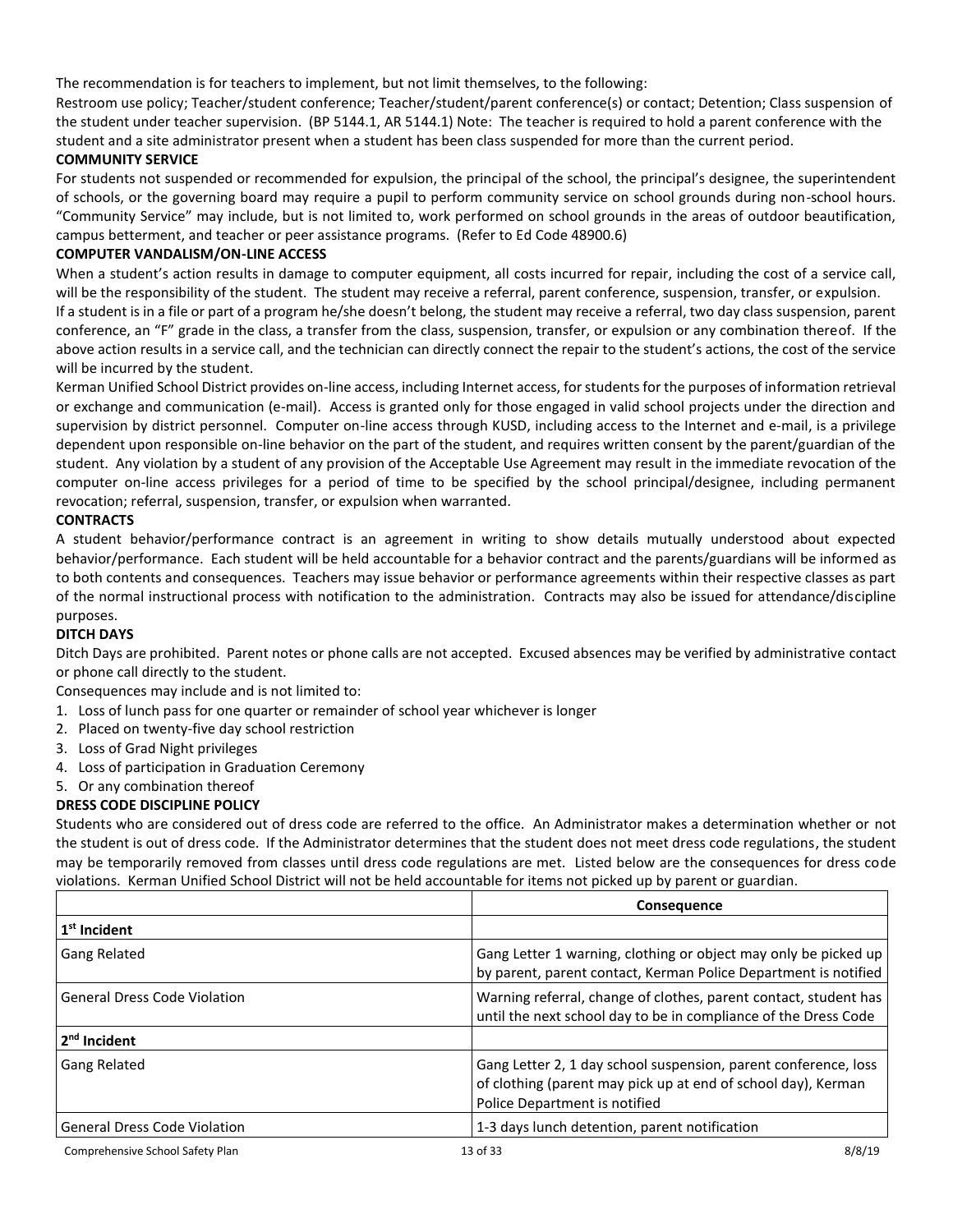The recommendation is for teachers to implement, but not limit themselves, to the following:

Restroom use policy; Teacher/student conference; Teacher/student/parent conference(s) or contact; Detention; Class suspension of the student under teacher supervision. (BP 5144.1, AR 5144.1) Note: The teacher is required to hold a parent conference with the student and a site administrator present when a student has been class suspended for more than the current period.

## **COMMUNITY SERVICE**

For students not suspended or recommended for expulsion, the principal of the school, the principal's designee, the superintendent of schools, or the governing board may require a pupil to perform community service on school grounds during non-school hours. "Community Service" may include, but is not limited to, work performed on school grounds in the areas of outdoor beautification, campus betterment, and teacher or peer assistance programs. (Refer to Ed Code 48900.6)

## **COMPUTER VANDALISM/ON-LINE ACCESS**

When a student's action results in damage to computer equipment, all costs incurred for repair, including the cost of a service call, will be the responsibility of the student. The student may receive a referral, parent conference, suspension, transfer, or expulsion. If a student is in a file or part of a program he/she doesn't belong, the student may receive a referral, two day class suspension, parent conference, an "F" grade in the class, a transfer from the class, suspension, transfer, or expulsion or any combination thereof. If the above action results in a service call, and the technician can directly connect the repair to the student's actions, the cost of the service will be incurred by the student.

Kerman Unified School District provides on-line access, including Internet access, for students for the purposes of information retrieval or exchange and communication (e-mail). Access is granted only for those engaged in valid school projects under the direction and supervision by district personnel. Computer on-line access through KUSD, including access to the Internet and e-mail, is a privilege dependent upon responsible on-line behavior on the part of the student, and requires written consent by the parent/guardian of the student. Any violation by a student of any provision of the Acceptable Use Agreement may result in the immediate revocation of the computer on-line access privileges for a period of time to be specified by the school principal/designee, including permanent revocation; referral, suspension, transfer, or expulsion when warranted.

## **CONTRACTS**

A student behavior/performance contract is an agreement in writing to show details mutually understood about expected behavior/performance. Each student will be held accountable for a behavior contract and the parents/guardians will be informed as to both contents and consequences. Teachers may issue behavior or performance agreements within their respective classes as part of the normal instructional process with notification to the administration. Contracts may also be issued for attendance/discipline purposes.

## **DITCH DAYS**

Ditch Days are prohibited. Parent notes or phone calls are not accepted. Excused absences may be verified by administrative contact or phone call directly to the student.

Consequences may include and is not limited to:

- 1. Loss of lunch pass for one quarter or remainder of school year whichever is longer
- 2. Placed on twenty-five day school restriction
- 3. Loss of Grad Night privileges
- 4. Loss of participation in Graduation Ceremony
- 5. Or any combination thereof

## **DRESS CODE DISCIPLINE POLICY**

Students who are considered out of dress code are referred to the office. An Administrator makes a determination whether or not the student is out of dress code. If the Administrator determines that the student does not meet dress code regulations, the student may be temporarily removed from classes until dress code regulations are met. Listed below are the consequences for dress code violations. Kerman Unified School District will not be held accountable for items not picked up by parent or guardian.

| <b>Consequence</b>                  |                                                                                                                                                                   |        |
|-------------------------------------|-------------------------------------------------------------------------------------------------------------------------------------------------------------------|--------|
| $1st$ Incident                      |                                                                                                                                                                   |        |
| <b>Gang Related</b>                 | Gang Letter 1 warning, clothing or object may only be picked up<br>by parent, parent contact, Kerman Police Department is notified                                |        |
| <b>General Dress Code Violation</b> | Warning referral, change of clothes, parent contact, student has<br>until the next school day to be in compliance of the Dress Code                               |        |
| 2 <sup>nd</sup> Incident            |                                                                                                                                                                   |        |
| <b>Gang Related</b>                 | Gang Letter 2, 1 day school suspension, parent conference, loss<br>of clothing (parent may pick up at end of school day), Kerman<br>Police Department is notified |        |
| General Dress Code Violation        | 1-3 days lunch detention, parent notification                                                                                                                     |        |
| Comprehensive School Safety Plan    | 13 of 33                                                                                                                                                          | 8/8/19 |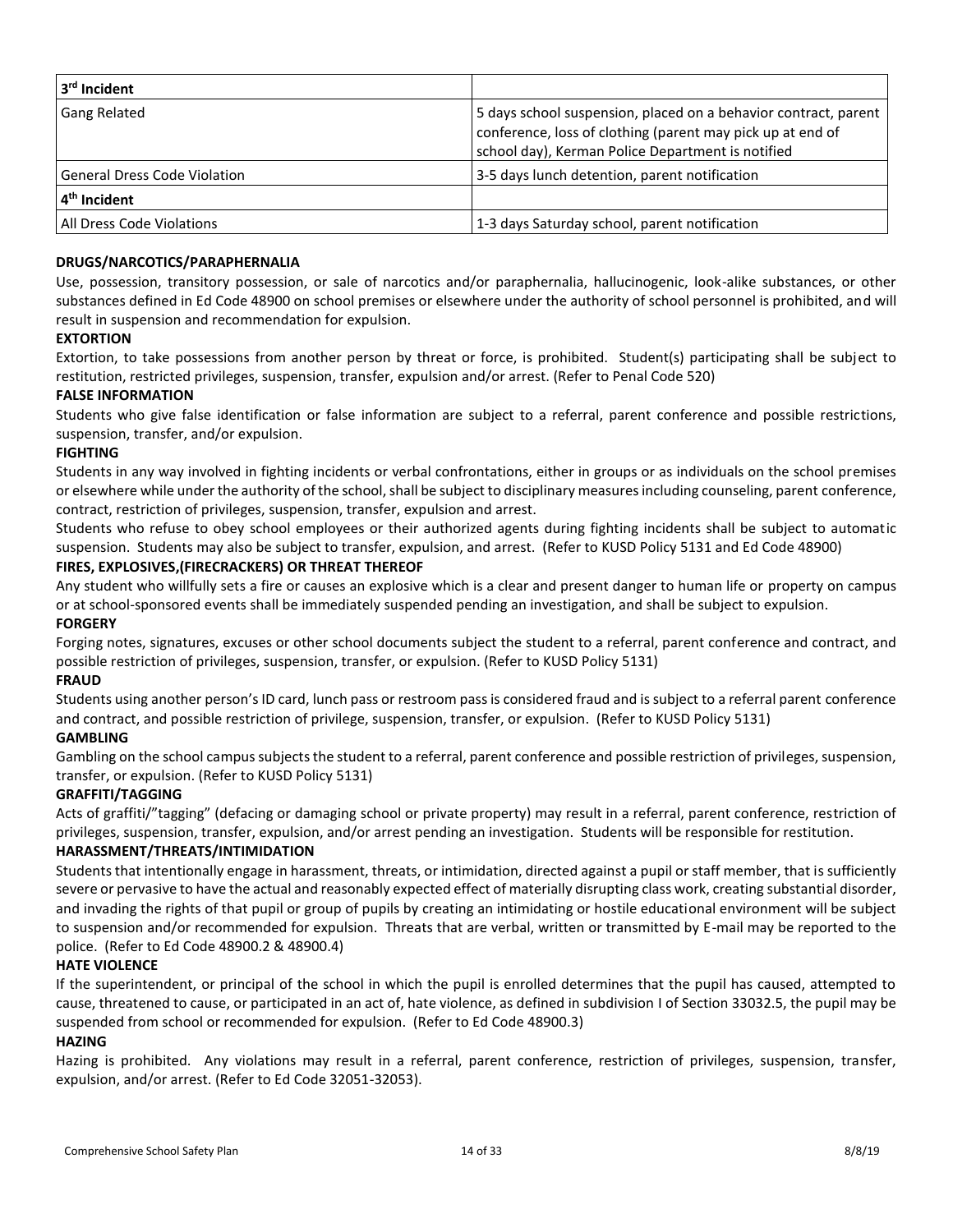| 3rd Incident                     |                                                                                                                                                                                    |
|----------------------------------|------------------------------------------------------------------------------------------------------------------------------------------------------------------------------------|
| <b>Gang Related</b>              | 5 days school suspension, placed on a behavior contract, parent<br>conference, loss of clothing (parent may pick up at end of<br>school day), Kerman Police Department is notified |
| General Dress Code Violation     | 3-5 days lunch detention, parent notification                                                                                                                                      |
| 4 <sup>th</sup> Incident         |                                                                                                                                                                                    |
| <b>All Dress Code Violations</b> | 1-3 days Saturday school, parent notification                                                                                                                                      |

#### **DRUGS/NARCOTICS/PARAPHERNALIA**

Use, possession, transitory possession, or sale of narcotics and/or paraphernalia, hallucinogenic, look-alike substances, or other substances defined in Ed Code 48900 on school premises or elsewhere under the authority of school personnel is prohibited, and will result in suspension and recommendation for expulsion.

#### **EXTORTION**

Extortion, to take possessions from another person by threat or force, is prohibited. Student(s) participating shall be subject to restitution, restricted privileges, suspension, transfer, expulsion and/or arrest. (Refer to Penal Code 520)

#### **FALSE INFORMATION**

Students who give false identification or false information are subject to a referral, parent conference and possible restrictions, suspension, transfer, and/or expulsion.

#### **FIGHTING**

Students in any way involved in fighting incidents or verbal confrontations, either in groups or as individuals on the school premises or elsewhere while under the authority of the school, shall be subject to disciplinary measures including counseling, parent conference, contract, restriction of privileges, suspension, transfer, expulsion and arrest.

Students who refuse to obey school employees or their authorized agents during fighting incidents shall be subject to automatic suspension. Students may also be subject to transfer, expulsion, and arrest. (Refer to KUSD Policy 5131 and Ed Code 48900)

## **FIRES, EXPLOSIVES,(FIRECRACKERS) OR THREAT THEREOF**

Any student who willfully sets a fire or causes an explosive which is a clear and present danger to human life or property on campus or at school-sponsored events shall be immediately suspended pending an investigation, and shall be subject to expulsion.

#### **FORGERY**

Forging notes, signatures, excuses or other school documents subject the student to a referral, parent conference and contract, and possible restriction of privileges, suspension, transfer, or expulsion. (Refer to KUSD Policy 5131)

## **FRAUD**

Students using another person's ID card, lunch pass or restroom pass is considered fraud and is subject to a referral parent conference and contract, and possible restriction of privilege, suspension, transfer, or expulsion. (Refer to KUSD Policy 5131)

## **GAMBLING**

Gambling on the school campus subjects the student to a referral, parent conference and possible restriction of privileges, suspension, transfer, or expulsion. (Refer to KUSD Policy 5131)

## **GRAFFITI/TAGGING**

Acts of graffiti/"tagging" (defacing or damaging school or private property) may result in a referral, parent conference, restriction of privileges, suspension, transfer, expulsion, and/or arrest pending an investigation. Students will be responsible for restitution.

## **HARASSMENT/THREATS/INTIMIDATION**

Students that intentionally engage in harassment, threats, or intimidation, directed against a pupil or staff member, that is sufficiently severe or pervasive to have the actual and reasonably expected effect of materially disrupting class work, creating substantial disorder, and invading the rights of that pupil or group of pupils by creating an intimidating or hostile educational environment will be subject to suspension and/or recommended for expulsion. Threats that are verbal, written or transmitted by E-mail may be reported to the police. (Refer to Ed Code 48900.2 & 48900.4)

#### **HATE VIOLENCE**

If the superintendent, or principal of the school in which the pupil is enrolled determines that the pupil has caused, attempted to cause, threatened to cause, or participated in an act of, hate violence, as defined in subdivision I of Section 33032.5, the pupil may be suspended from school or recommended for expulsion. (Refer to Ed Code 48900.3)

#### **HAZING**

Hazing is prohibited. Any violations may result in a referral, parent conference, restriction of privileges, suspension, transfer, expulsion, and/or arrest. (Refer to Ed Code 32051-32053).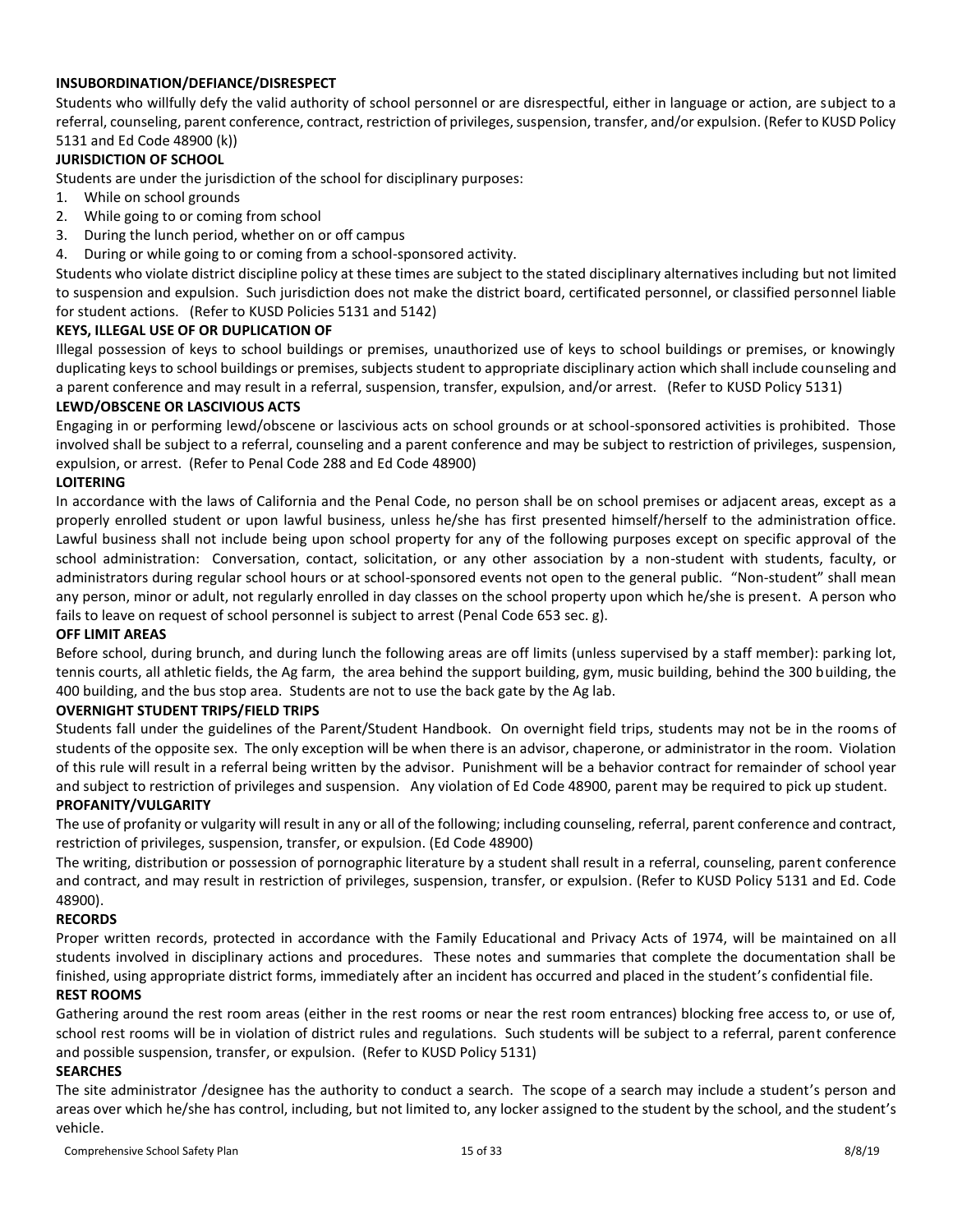## **INSUBORDINATION/DEFIANCE/DISRESPECT**

Students who willfully defy the valid authority of school personnel or are disrespectful, either in language or action, are subject to a referral, counseling, parent conference, contract, restriction of privileges, suspension, transfer, and/or expulsion. (Refer to KUSD Policy 5131 and Ed Code 48900 (k))

## **JURISDICTION OF SCHOOL**

Students are under the jurisdiction of the school for disciplinary purposes:

- 1. While on school grounds
- 2. While going to or coming from school
- 3. During the lunch period, whether on or off campus
- 4. During or while going to or coming from a school-sponsored activity.

Students who violate district discipline policy at these times are subject to the stated disciplinary alternatives including but not limited to suspension and expulsion. Such jurisdiction does not make the district board, certificated personnel, or classified personnel liable for student actions. (Refer to KUSD Policies 5131 and 5142)

## **KEYS, ILLEGAL USE OF OR DUPLICATION OF**

Illegal possession of keys to school buildings or premises, unauthorized use of keys to school buildings or premises, or knowingly duplicating keys to school buildings or premises, subjects student to appropriate disciplinary action which shall include counseling and a parent conference and may result in a referral, suspension, transfer, expulsion, and/or arrest. (Refer to KUSD Policy 5131)

#### **LEWD/OBSCENE OR LASCIVIOUS ACTS**

Engaging in or performing lewd/obscene or lascivious acts on school grounds or at school-sponsored activities is prohibited. Those involved shall be subject to a referral, counseling and a parent conference and may be subject to restriction of privileges, suspension, expulsion, or arrest. (Refer to Penal Code 288 and Ed Code 48900)

#### **LOITERING**

In accordance with the laws of California and the Penal Code, no person shall be on school premises or adjacent areas, except as a properly enrolled student or upon lawful business, unless he/she has first presented himself/herself to the administration office. Lawful business shall not include being upon school property for any of the following purposes except on specific approval of the school administration: Conversation, contact, solicitation, or any other association by a non-student with students, faculty, or administrators during regular school hours or at school-sponsored events not open to the general public. "Non-student" shall mean any person, minor or adult, not regularly enrolled in day classes on the school property upon which he/she is present. A person who fails to leave on request of school personnel is subject to arrest (Penal Code 653 sec. g).

## **OFF LIMIT AREAS**

Before school, during brunch, and during lunch the following areas are off limits (unless supervised by a staff member): parking lot, tennis courts, all athletic fields, the Ag farm, the area behind the support building, gym, music building, behind the 300 building, the 400 building, and the bus stop area. Students are not to use the back gate by the Ag lab.

#### **OVERNIGHT STUDENT TRIPS/FIELD TRIPS**

Students fall under the guidelines of the Parent/Student Handbook. On overnight field trips, students may not be in the rooms of students of the opposite sex. The only exception will be when there is an advisor, chaperone, or administrator in the room. Violation of this rule will result in a referral being written by the advisor. Punishment will be a behavior contract for remainder of school year and subject to restriction of privileges and suspension. Any violation of Ed Code 48900, parent may be required to pick up student. **PROFANITY/VULGARITY**

The use of profanity or vulgarity will result in any or all of the following; including counseling, referral, parent conference and contract, restriction of privileges, suspension, transfer, or expulsion. (Ed Code 48900)

The writing, distribution or possession of pornographic literature by a student shall result in a referral, counseling, parent conference and contract, and may result in restriction of privileges, suspension, transfer, or expulsion. (Refer to KUSD Policy 5131 and Ed. Code 48900).

# **RECORDS**

Proper written records, protected in accordance with the Family Educational and Privacy Acts of 1974, will be maintained on all students involved in disciplinary actions and procedures. These notes and summaries that complete the documentation shall be finished, using appropriate district forms, immediately after an incident has occurred and placed in the student's confidential file.

# **REST ROOMS**

Gathering around the rest room areas (either in the rest rooms or near the rest room entrances) blocking free access to, or use of, school rest rooms will be in violation of district rules and regulations. Such students will be subject to a referral, parent conference and possible suspension, transfer, or expulsion. (Refer to KUSD Policy 5131)

#### **SEARCHES**

The site administrator /designee has the authority to conduct a search. The scope of a search may include a student's person and areas over which he/she has control, including, but not limited to, any locker assigned to the student by the school, and the student's vehicle.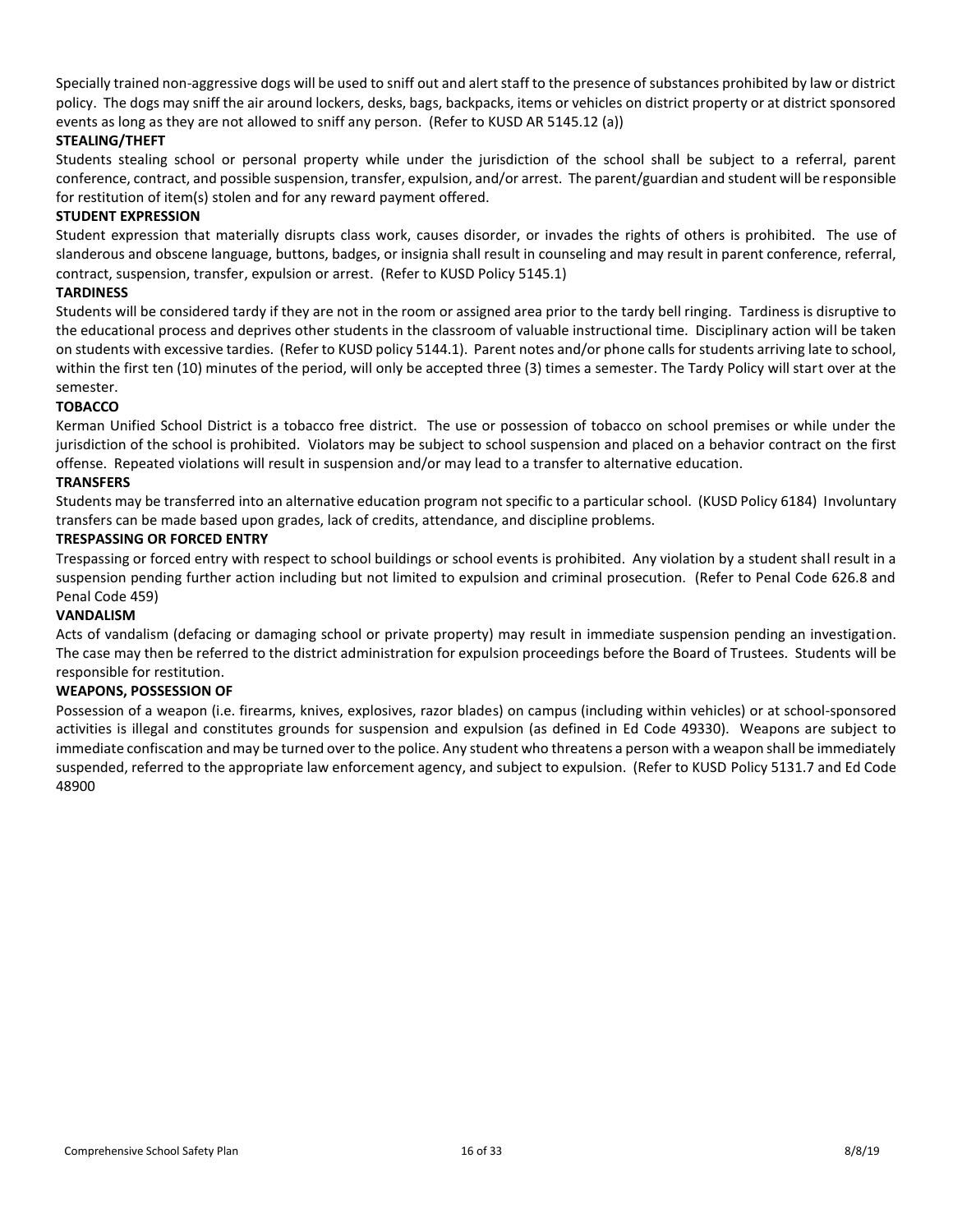Specially trained non-aggressive dogs will be used to sniff out and alert staff to the presence of substances prohibited by law or district policy. The dogs may sniff the air around lockers, desks, bags, backpacks, items or vehicles on district property or at district sponsored events as long as they are not allowed to sniff any person. (Refer to KUSD AR 5145.12 (a))

## **STEALING/THEFT**

Students stealing school or personal property while under the jurisdiction of the school shall be subject to a referral, parent conference, contract, and possible suspension, transfer, expulsion, and/or arrest. The parent/guardian and student will be responsible for restitution of item(s) stolen and for any reward payment offered.

#### **STUDENT EXPRESSION**

Student expression that materially disrupts class work, causes disorder, or invades the rights of others is prohibited. The use of slanderous and obscene language, buttons, badges, or insignia shall result in counseling and may result in parent conference, referral, contract, suspension, transfer, expulsion or arrest. (Refer to KUSD Policy 5145.1)

#### **TARDINESS**

Students will be considered tardy if they are not in the room or assigned area prior to the tardy bell ringing. Tardiness is disruptive to the educational process and deprives other students in the classroom of valuable instructional time. Disciplinary action will be taken on students with excessive tardies. (Refer to KUSD policy 5144.1). Parent notes and/or phone calls for students arriving late to school, within the first ten (10) minutes of the period, will only be accepted three (3) times a semester. The Tardy Policy will start over at the semester.

#### **TOBACCO**

Kerman Unified School District is a tobacco free district. The use or possession of tobacco on school premises or while under the jurisdiction of the school is prohibited. Violators may be subject to school suspension and placed on a behavior contract on the first offense. Repeated violations will result in suspension and/or may lead to a transfer to alternative education.

#### **TRANSFERS**

Students may be transferred into an alternative education program not specific to a particular school. (KUSD Policy 6184) Involuntary transfers can be made based upon grades, lack of credits, attendance, and discipline problems.

## **TRESPASSING OR FORCED ENTRY**

Trespassing or forced entry with respect to school buildings or school events is prohibited. Any violation by a student shall result in a suspension pending further action including but not limited to expulsion and criminal prosecution. (Refer to Penal Code 626.8 and Penal Code 459)

#### **VANDALISM**

Acts of vandalism (defacing or damaging school or private property) may result in immediate suspension pending an investigation. The case may then be referred to the district administration for expulsion proceedings before the Board of Trustees. Students will be responsible for restitution.

#### **WEAPONS, POSSESSION OF**

Possession of a weapon (i.e. firearms, knives, explosives, razor blades) on campus (including within vehicles) or at school-sponsored activities is illegal and constitutes grounds for suspension and expulsion (as defined in Ed Code 49330). Weapons are subject to immediate confiscation and may be turned over to the police. Any student who threatens a person with a weapon shall be immediately suspended, referred to the appropriate law enforcement agency, and subject to expulsion. (Refer to KUSD Policy 5131.7 and Ed Code 48900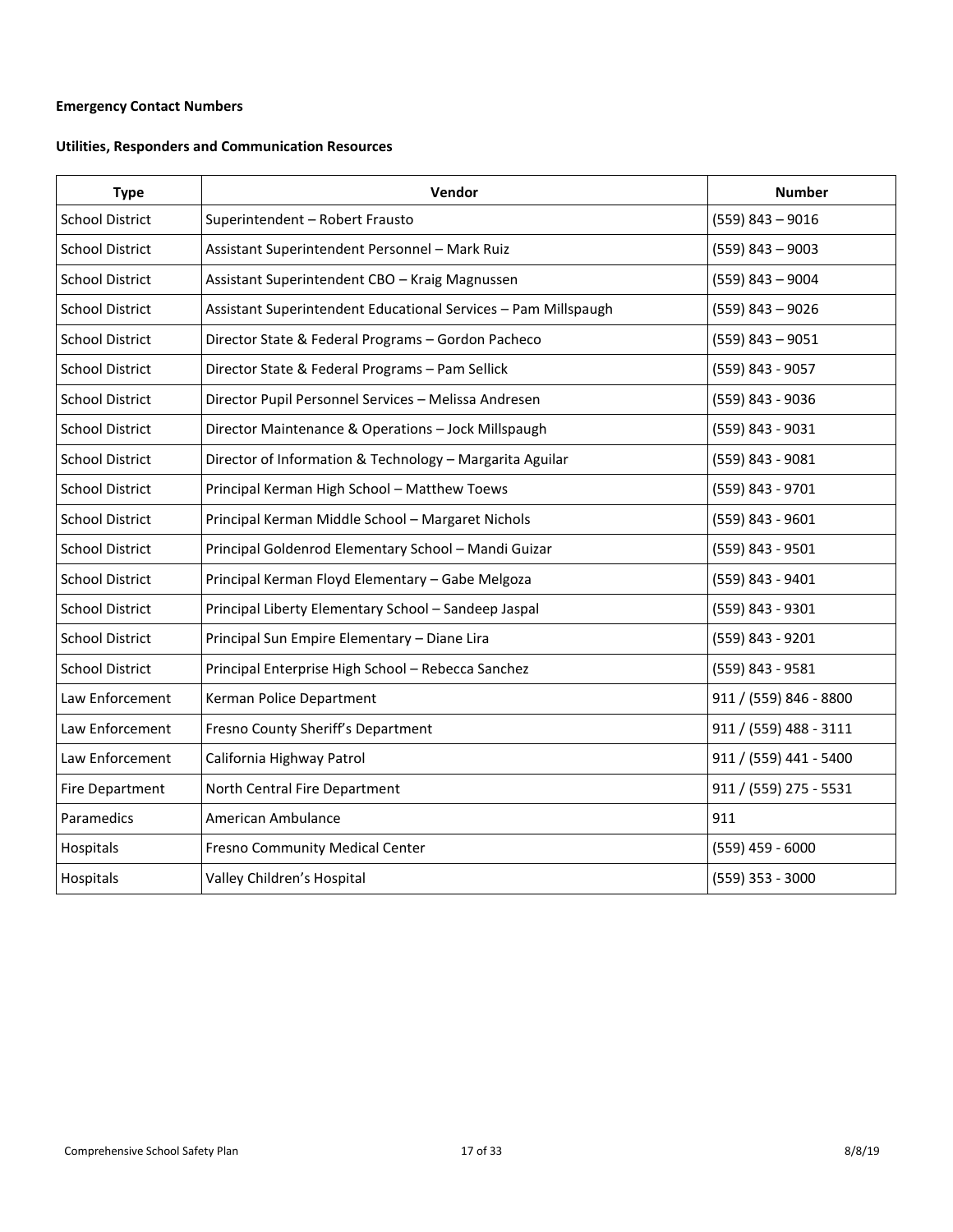# <span id="page-16-0"></span>**Emergency Contact Numbers**

# **Utilities, Responders and Communication Resources**

| <b>Type</b>            | Vendor                                                         | <b>Number</b>          |
|------------------------|----------------------------------------------------------------|------------------------|
| <b>School District</b> | Superintendent - Robert Frausto                                | $(559)$ 843 - 9016     |
| <b>School District</b> | Assistant Superintendent Personnel - Mark Ruiz                 | $(559)$ 843 - 9003     |
| <b>School District</b> | Assistant Superintendent CBO - Kraig Magnussen                 | $(559)$ 843 - 9004     |
| <b>School District</b> | Assistant Superintendent Educational Services - Pam Millspaugh | $(559)$ 843 - 9026     |
| <b>School District</b> | Director State & Federal Programs - Gordon Pacheco             | $(559)$ 843 - 9051     |
| <b>School District</b> | Director State & Federal Programs - Pam Sellick                | (559) 843 - 9057       |
| <b>School District</b> | Director Pupil Personnel Services - Melissa Andresen           | (559) 843 - 9036       |
| <b>School District</b> | Director Maintenance & Operations - Jock Millspaugh            | (559) 843 - 9031       |
| <b>School District</b> | Director of Information & Technology - Margarita Aguilar       | $(559) 843 - 9081$     |
| <b>School District</b> | Principal Kerman High School - Matthew Toews                   | (559) 843 - 9701       |
| <b>School District</b> | Principal Kerman Middle School - Margaret Nichols              | $(559) 843 - 9601$     |
| <b>School District</b> | Principal Goldenrod Elementary School - Mandi Guizar           | (559) 843 - 9501       |
| <b>School District</b> | Principal Kerman Floyd Elementary - Gabe Melgoza               | (559) 843 - 9401       |
| <b>School District</b> | Principal Liberty Elementary School - Sandeep Jaspal           | (559) 843 - 9301       |
| <b>School District</b> | Principal Sun Empire Elementary - Diane Lira                   | (559) 843 - 9201       |
| <b>School District</b> | Principal Enterprise High School - Rebecca Sanchez             | (559) 843 - 9581       |
| Law Enforcement        | Kerman Police Department                                       | 911 / (559) 846 - 8800 |
| Law Enforcement        | Fresno County Sheriff's Department                             | 911 / (559) 488 - 3111 |
| Law Enforcement        | California Highway Patrol                                      | 911 / (559) 441 - 5400 |
| <b>Fire Department</b> | North Central Fire Department                                  | 911 / (559) 275 - 5531 |
| Paramedics             | American Ambulance                                             | 911                    |
| Hospitals              | Fresno Community Medical Center                                | $(559)$ 459 - 6000     |
| Hospitals              | Valley Children's Hospital                                     | $(559)$ 353 - 3000     |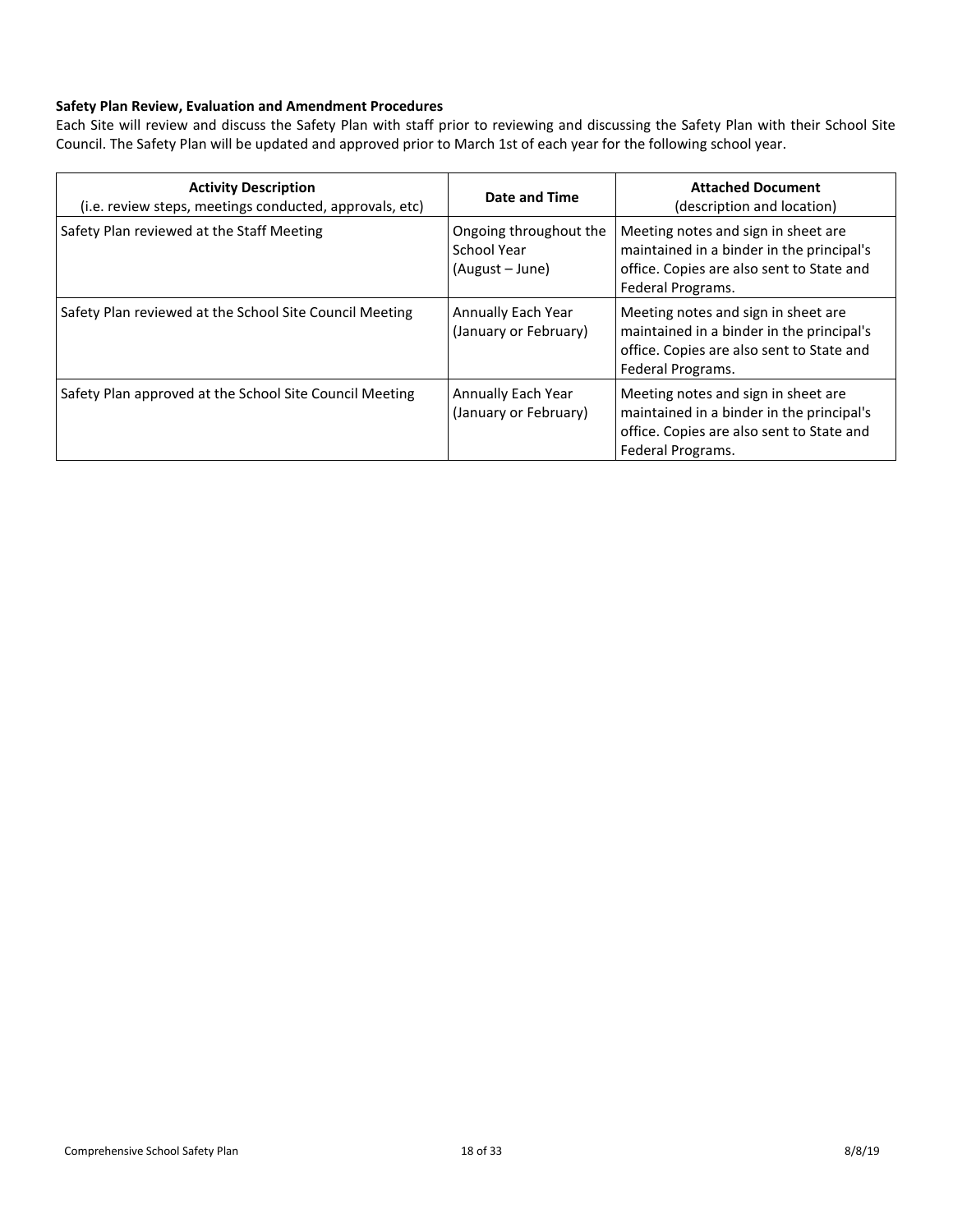## <span id="page-17-0"></span>**Safety Plan Review, Evaluation and Amendment Procedures**

Each Site will review and discuss the Safety Plan with staff prior to reviewing and discussing the Safety Plan with their School Site Council. The Safety Plan will be updated and approved prior to March 1st of each year for the following school year.

| <b>Activity Description</b><br>(i.e. review steps, meetings conducted, approvals, etc) | Date and Time                                            | <b>Attached Document</b><br>(description and location)                                                                                             |
|----------------------------------------------------------------------------------------|----------------------------------------------------------|----------------------------------------------------------------------------------------------------------------------------------------------------|
| Safety Plan reviewed at the Staff Meeting                                              | Ongoing throughout the<br>School Year<br>(August – June) | Meeting notes and sign in sheet are<br>maintained in a binder in the principal's<br>office. Copies are also sent to State and<br>Federal Programs. |
| Safety Plan reviewed at the School Site Council Meeting                                | Annually Each Year<br>(January or February)              | Meeting notes and sign in sheet are<br>maintained in a binder in the principal's<br>office. Copies are also sent to State and<br>Federal Programs. |
| Safety Plan approved at the School Site Council Meeting                                | Annually Each Year<br>(January or February)              | Meeting notes and sign in sheet are<br>maintained in a binder in the principal's<br>office. Copies are also sent to State and<br>Federal Programs. |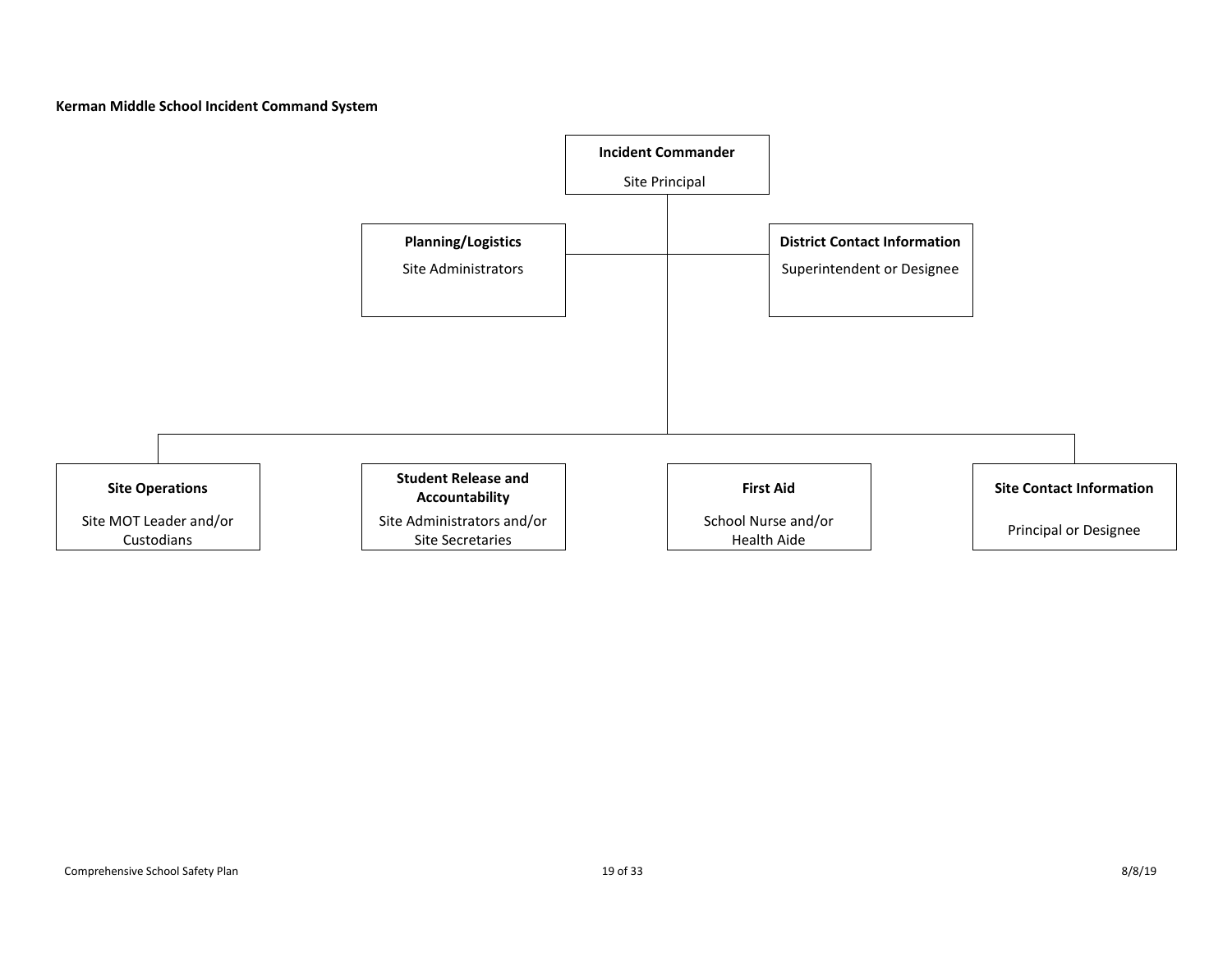**Kerman Middle School Incident Command System**

<span id="page-18-0"></span>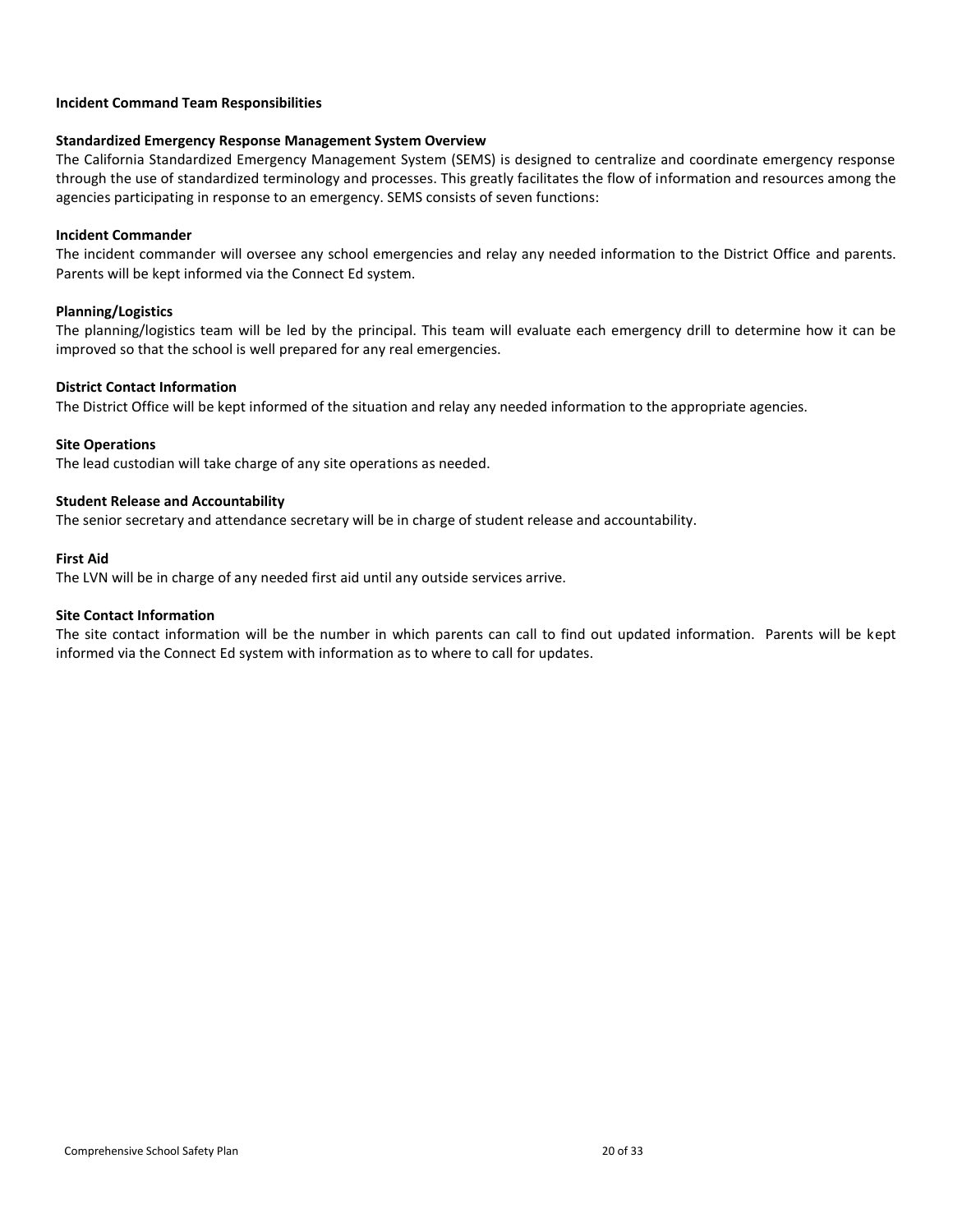#### <span id="page-19-0"></span>**Incident Command Team Responsibilities**

#### **Standardized Emergency Response Management System Overview**

The California Standardized Emergency Management System (SEMS) is designed to centralize and coordinate emergency response through the use of standardized terminology and processes. This greatly facilitates the flow of information and resources among the agencies participating in response to an emergency. SEMS consists of seven functions:

#### **Incident Commander**

The incident commander will oversee any school emergencies and relay any needed information to the District Office and parents. Parents will be kept informed via the Connect Ed system.

#### **Planning/Logistics**

The planning/logistics team will be led by the principal. This team will evaluate each emergency drill to determine how it can be improved so that the school is well prepared for any real emergencies.

#### **District Contact Information**

The District Office will be kept informed of the situation and relay any needed information to the appropriate agencies.

#### **Site Operations**

The lead custodian will take charge of any site operations as needed.

#### **Student Release and Accountability**

The senior secretary and attendance secretary will be in charge of student release and accountability.

#### **First Aid**

The LVN will be in charge of any needed first aid until any outside services arrive.

#### **Site Contact Information**

The site contact information will be the number in which parents can call to find out updated information. Parents will be kept informed via the Connect Ed system with information as to where to call for updates.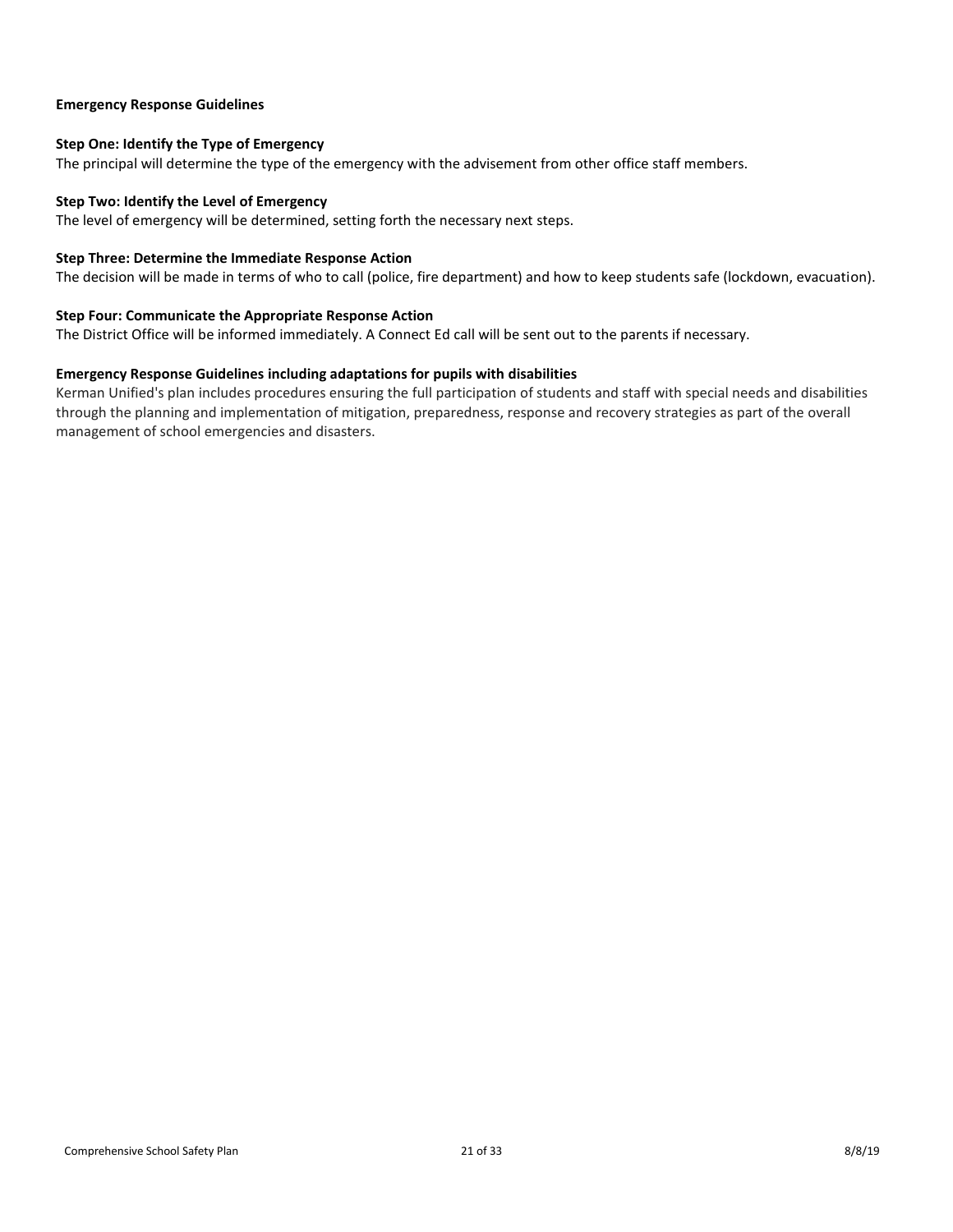#### <span id="page-20-0"></span>**Emergency Response Guidelines**

### <span id="page-20-1"></span>**Step One: Identify the Type of Emergency**

The principal will determine the type of the emergency with the advisement from other office staff members.

#### <span id="page-20-2"></span>**Step Two: Identify the Level of Emergency**

The level of emergency will be determined, setting forth the necessary next steps.

#### <span id="page-20-3"></span>**Step Three: Determine the Immediate Response Action**

The decision will be made in terms of who to call (police, fire department) and how to keep students safe (lockdown, evacuation).

## <span id="page-20-4"></span>**Step Four: Communicate the Appropriate Response Action**

The District Office will be informed immediately. A Connect Ed call will be sent out to the parents if necessary.

#### **Emergency Response Guidelines including adaptations for pupils with disabilities**

Kerman Unified's plan includes procedures ensuring the full participation of students and staff with special needs and disabilities through the planning and implementation of mitigation, preparedness, response and recovery strategies as part of the overall management of school emergencies and disasters.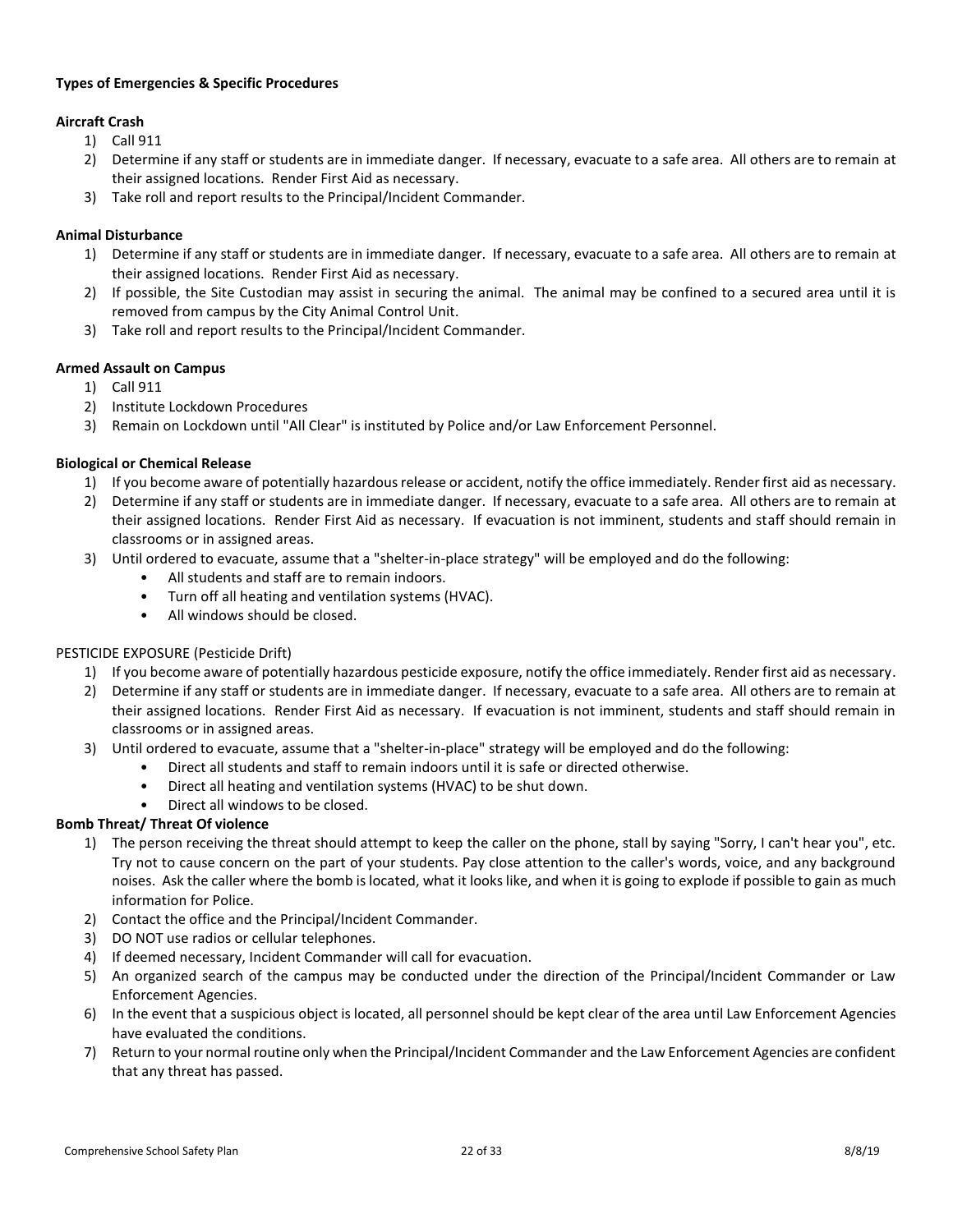## <span id="page-21-0"></span>**Types of Emergencies & Specific Procedures**

## <span id="page-21-1"></span>**Aircraft Crash**

- 1) Call 911
- 2) Determine if any staff or students are in immediate danger. If necessary, evacuate to a safe area. All others are to remain at their assigned locations. Render First Aid as necessary.
- 3) Take roll and report results to the Principal/Incident Commander.

## <span id="page-21-2"></span>**Animal Disturbance**

- 1) Determine if any staff or students are in immediate danger. If necessary, evacuate to a safe area. All others are to remain at their assigned locations. Render First Aid as necessary.
- 2) If possible, the Site Custodian may assist in securing the animal. The animal may be confined to a secured area until it is removed from campus by the City Animal Control Unit.
- 3) Take roll and report results to the Principal/Incident Commander.

#### <span id="page-21-3"></span>**Armed Assault on Campus**

- 1) Call 911
- 2) Institute Lockdown Procedures
- 3) Remain on Lockdown until "All Clear" is instituted by Police and/or Law Enforcement Personnel.

#### <span id="page-21-4"></span>**Biological or Chemical Release**

- 1) If you become aware of potentially hazardous release or accident, notify the office immediately. Render first aid as necessary.
- 2) Determine if any staff or students are in immediate danger. If necessary, evacuate to a safe area. All others are to remain at their assigned locations. Render First Aid as necessary. If evacuation is not imminent, students and staff should remain in classrooms or in assigned areas.
- 3) Until ordered to evacuate, assume that a "shelter-in-place strategy" will be employed and do the following:
	- All students and staff are to remain indoors.
	- Turn off all heating and ventilation systems (HVAC).
	- All windows should be closed.

#### PESTICIDE EXPOSURE (Pesticide Drift)

- 1) If you become aware of potentially hazardous pesticide exposure, notify the office immediately. Render first aid as necessary.
- 2) Determine if any staff or students are in immediate danger. If necessary, evacuate to a safe area. All others are to remain at their assigned locations. Render First Aid as necessary. If evacuation is not imminent, students and staff should remain in classrooms or in assigned areas.
- 3) Until ordered to evacuate, assume that a "shelter-in-place" strategy will be employed and do the following:
	- Direct all students and staff to remain indoors until it is safe or directed otherwise.
	- Direct all heating and ventilation systems (HVAC) to be shut down.
	- Direct all windows to be closed.

## <span id="page-21-5"></span>**Bomb Threat/ Threat Of violence**

- 1) The person receiving the threat should attempt to keep the caller on the phone, stall by saying "Sorry, I can't hear you", etc. Try not to cause concern on the part of your students. Pay close attention to the caller's words, voice, and any background noises. Ask the caller where the bomb is located, what it looks like, and when it is going to explode if possible to gain as much information for Police.
- 2) Contact the office and the Principal/Incident Commander.
- 3) DO NOT use radios or cellular telephones.
- 4) If deemed necessary, Incident Commander will call for evacuation.
- 5) An organized search of the campus may be conducted under the direction of the Principal/Incident Commander or Law Enforcement Agencies.
- 6) In the event that a suspicious object is located, all personnel should be kept clear of the area until Law Enforcement Agencies have evaluated the conditions.
- 7) Return to your normal routine only when the Principal/Incident Commander and the Law Enforcement Agencies are confident that any threat has passed.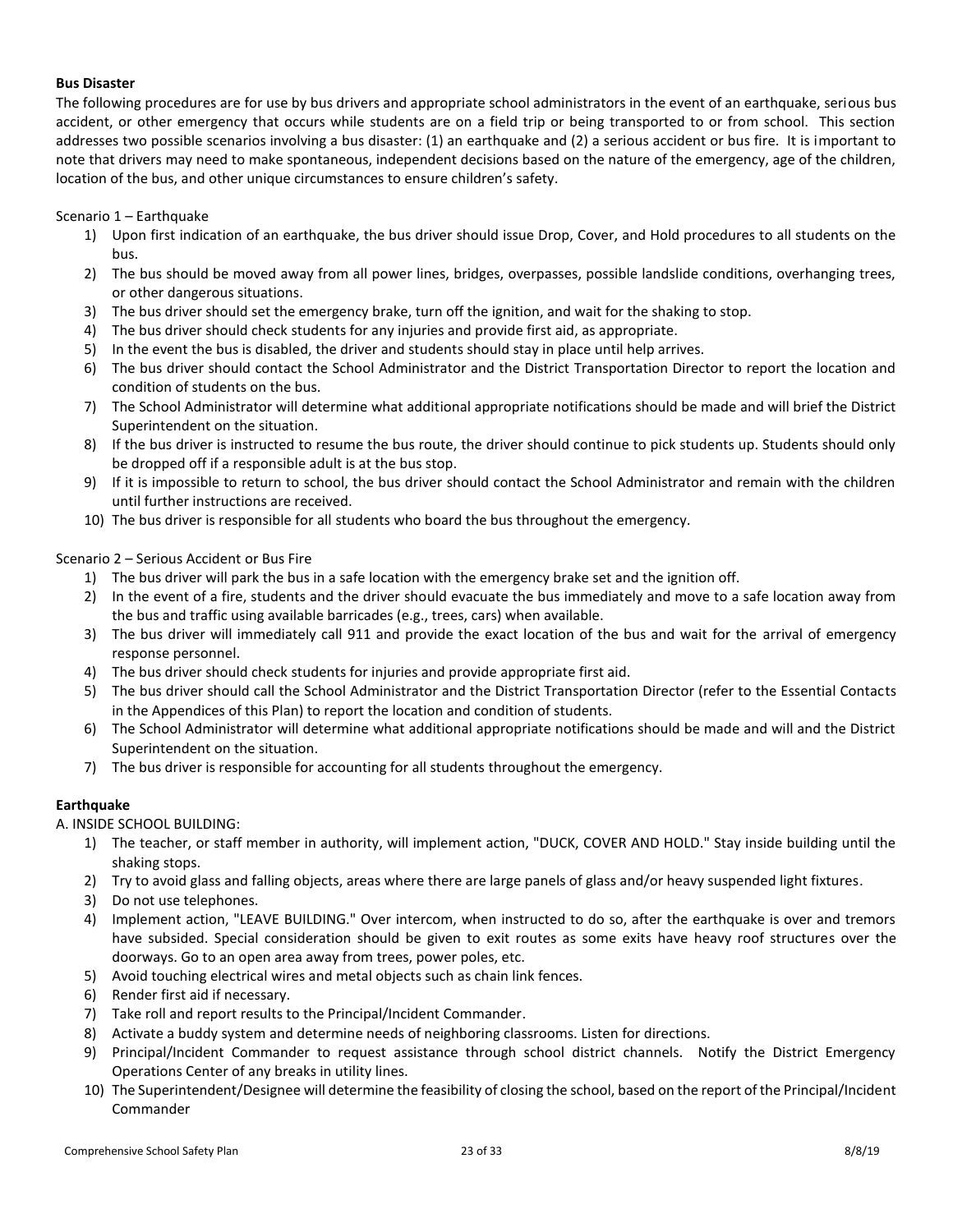### <span id="page-22-0"></span>**Bus Disaster**

The following procedures are for use by bus drivers and appropriate school administrators in the event of an earthquake, serious bus accident, or other emergency that occurs while students are on a field trip or being transported to or from school. This section addresses two possible scenarios involving a bus disaster: (1) an earthquake and (2) a serious accident or bus fire. It is important to note that drivers may need to make spontaneous, independent decisions based on the nature of the emergency, age of the children, location of the bus, and other unique circumstances to ensure children's safety.

## Scenario 1 – Earthquake

- 1) Upon first indication of an earthquake, the bus driver should issue Drop, Cover, and Hold procedures to all students on the bus.
- 2) The bus should be moved away from all power lines, bridges, overpasses, possible landslide conditions, overhanging trees, or other dangerous situations.
- 3) The bus driver should set the emergency brake, turn off the ignition, and wait for the shaking to stop.
- 4) The bus driver should check students for any injuries and provide first aid, as appropriate.
- 5) In the event the bus is disabled, the driver and students should stay in place until help arrives.
- 6) The bus driver should contact the School Administrator and the District Transportation Director to report the location and condition of students on the bus.
- 7) The School Administrator will determine what additional appropriate notifications should be made and will brief the District Superintendent on the situation.
- 8) If the bus driver is instructed to resume the bus route, the driver should continue to pick students up. Students should only be dropped off if a responsible adult is at the bus stop.
- 9) If it is impossible to return to school, the bus driver should contact the School Administrator and remain with the children until further instructions are received.
- 10) The bus driver is responsible for all students who board the bus throughout the emergency.

#### Scenario 2 – Serious Accident or Bus Fire

- 1) The bus driver will park the bus in a safe location with the emergency brake set and the ignition off.
- 2) In the event of a fire, students and the driver should evacuate the bus immediately and move to a safe location away from the bus and traffic using available barricades (e.g., trees, cars) when available.
- 3) The bus driver will immediately call 911 and provide the exact location of the bus and wait for the arrival of emergency response personnel.
- 4) The bus driver should check students for injuries and provide appropriate first aid.
- 5) The bus driver should call the School Administrator and the District Transportation Director (refer to the Essential Contacts in the Appendices of this Plan) to report the location and condition of students.
- 6) The School Administrator will determine what additional appropriate notifications should be made and will and the District Superintendent on the situation.
- 7) The bus driver is responsible for accounting for all students throughout the emergency.

## <span id="page-22-1"></span>**Earthquake**

A. INSIDE SCHOOL BUILDING:

- 1) The teacher, or staff member in authority, will implement action, "DUCK, COVER AND HOLD." Stay inside building until the shaking stops.
- 2) Try to avoid glass and falling objects, areas where there are large panels of glass and/or heavy suspended light fixtures.
- 3) Do not use telephones.
- 4) Implement action, "LEAVE BUILDING." Over intercom, when instructed to do so, after the earthquake is over and tremors have subsided. Special consideration should be given to exit routes as some exits have heavy roof structures over the doorways. Go to an open area away from trees, power poles, etc.
- 5) Avoid touching electrical wires and metal objects such as chain link fences.
- 6) Render first aid if necessary.
- 7) Take roll and report results to the Principal/Incident Commander.
- 8) Activate a buddy system and determine needs of neighboring classrooms. Listen for directions.
- 9) Principal/Incident Commander to request assistance through school district channels. Notify the District Emergency Operations Center of any breaks in utility lines.
- 10) The Superintendent/Designee will determine the feasibility of closing the school, based on the report of the Principal/Incident Commander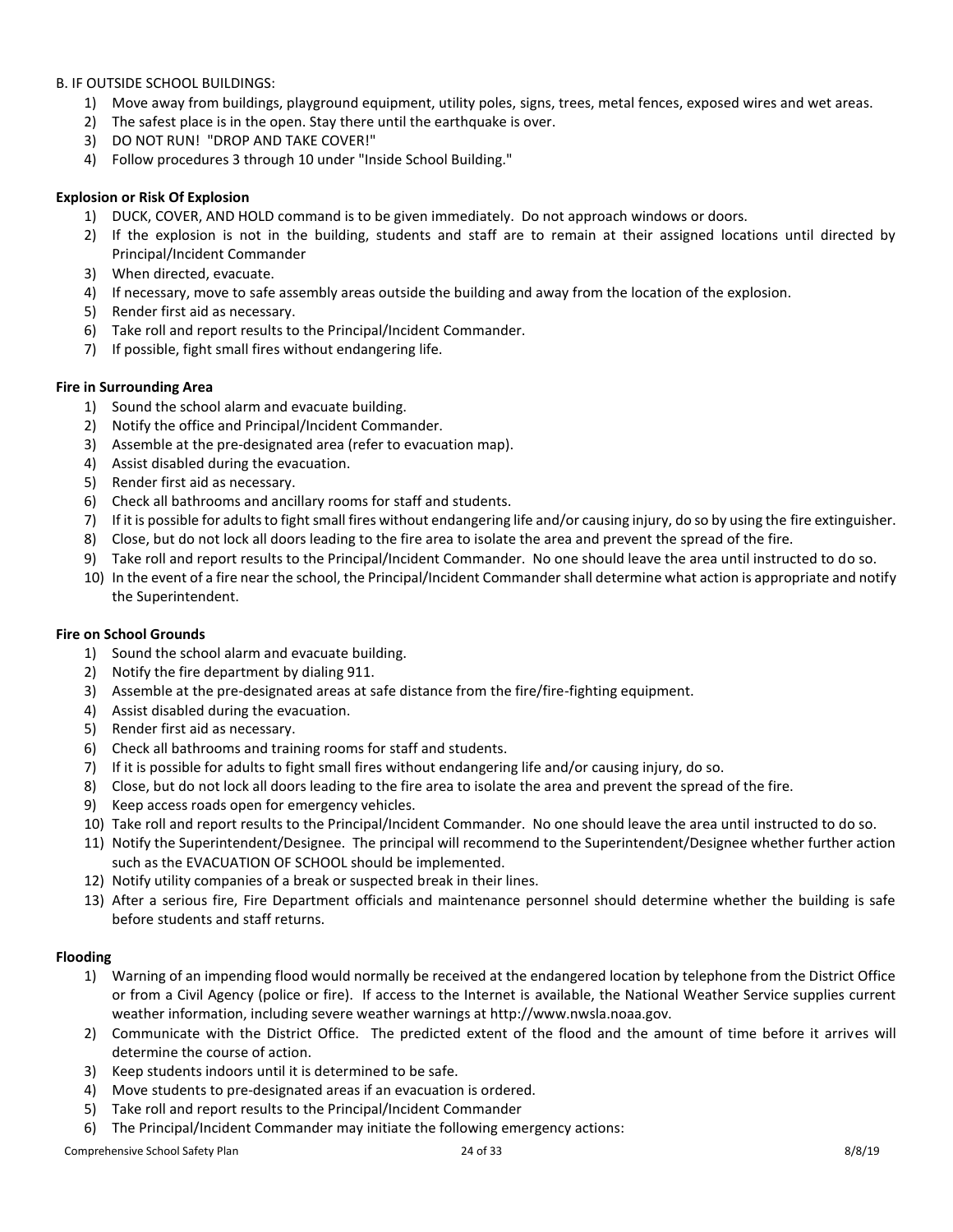B. IF OUTSIDE SCHOOL BUILDINGS:

- 1) Move away from buildings, playground equipment, utility poles, signs, trees, metal fences, exposed wires and wet areas.
- 2) The safest place is in the open. Stay there until the earthquake is over.
- 3) DO NOT RUN! "DROP AND TAKE COVER!"
- 4) Follow procedures 3 through 10 under "Inside School Building."

## <span id="page-23-0"></span>**Explosion or Risk Of Explosion**

- 1) DUCK, COVER, AND HOLD command is to be given immediately. Do not approach windows or doors.
- 2) If the explosion is not in the building, students and staff are to remain at their assigned locations until directed by Principal/Incident Commander
- 3) When directed, evacuate.
- 4) If necessary, move to safe assembly areas outside the building and away from the location of the explosion.
- 5) Render first aid as necessary.
- 6) Take roll and report results to the Principal/Incident Commander.
- 7) If possible, fight small fires without endangering life.

## <span id="page-23-1"></span>**Fire in Surrounding Area**

- 1) Sound the school alarm and evacuate building.
- 2) Notify the office and Principal/Incident Commander.
- 3) Assemble at the pre-designated area (refer to evacuation map).
- 4) Assist disabled during the evacuation.
- 5) Render first aid as necessary.
- 6) Check all bathrooms and ancillary rooms for staff and students.
- 7) If it is possible for adults to fight small fires without endangering life and/or causing injury, do so by using the fire extinguisher.
- 8) Close, but do not lock all doors leading to the fire area to isolate the area and prevent the spread of the fire.
- 9) Take roll and report results to the Principal/Incident Commander. No one should leave the area until instructed to do so.
- 10) In the event of a fire near the school, the Principal/Incident Commander shall determine what action is appropriate and notify the Superintendent.

## <span id="page-23-2"></span>**Fire on School Grounds**

- 1) Sound the school alarm and evacuate building.
- 2) Notify the fire department by dialing 911.
- 3) Assemble at the pre-designated areas at safe distance from the fire/fire-fighting equipment.
- 4) Assist disabled during the evacuation.
- 5) Render first aid as necessary.
- 6) Check all bathrooms and training rooms for staff and students.
- 7) If it is possible for adults to fight small fires without endangering life and/or causing injury, do so.
- 8) Close, but do not lock all doors leading to the fire area to isolate the area and prevent the spread of the fire.
- 9) Keep access roads open for emergency vehicles.
- 10) Take roll and report results to the Principal/Incident Commander. No one should leave the area until instructed to do so.
- 11) Notify the Superintendent/Designee. The principal will recommend to the Superintendent/Designee whether further action such as the EVACUATION OF SCHOOL should be implemented.
- 12) Notify utility companies of a break or suspected break in their lines.
- 13) After a serious fire, Fire Department officials and maintenance personnel should determine whether the building is safe before students and staff returns.

## <span id="page-23-3"></span>**Flooding**

- 1) Warning of an impending flood would normally be received at the endangered location by telephone from the District Office or from a Civil Agency (police or fire). If access to the Internet is available, the National Weather Service supplies current weather information, including severe weather warnings at http://www.nwsla.noaa.gov.
- 2) Communicate with the District Office. The predicted extent of the flood and the amount of time before it arrives will determine the course of action.
- 3) Keep students indoors until it is determined to be safe.
- 4) Move students to pre-designated areas if an evacuation is ordered.
- 5) Take roll and report results to the Principal/Incident Commander
- 6) The Principal/Incident Commander may initiate the following emergency actions: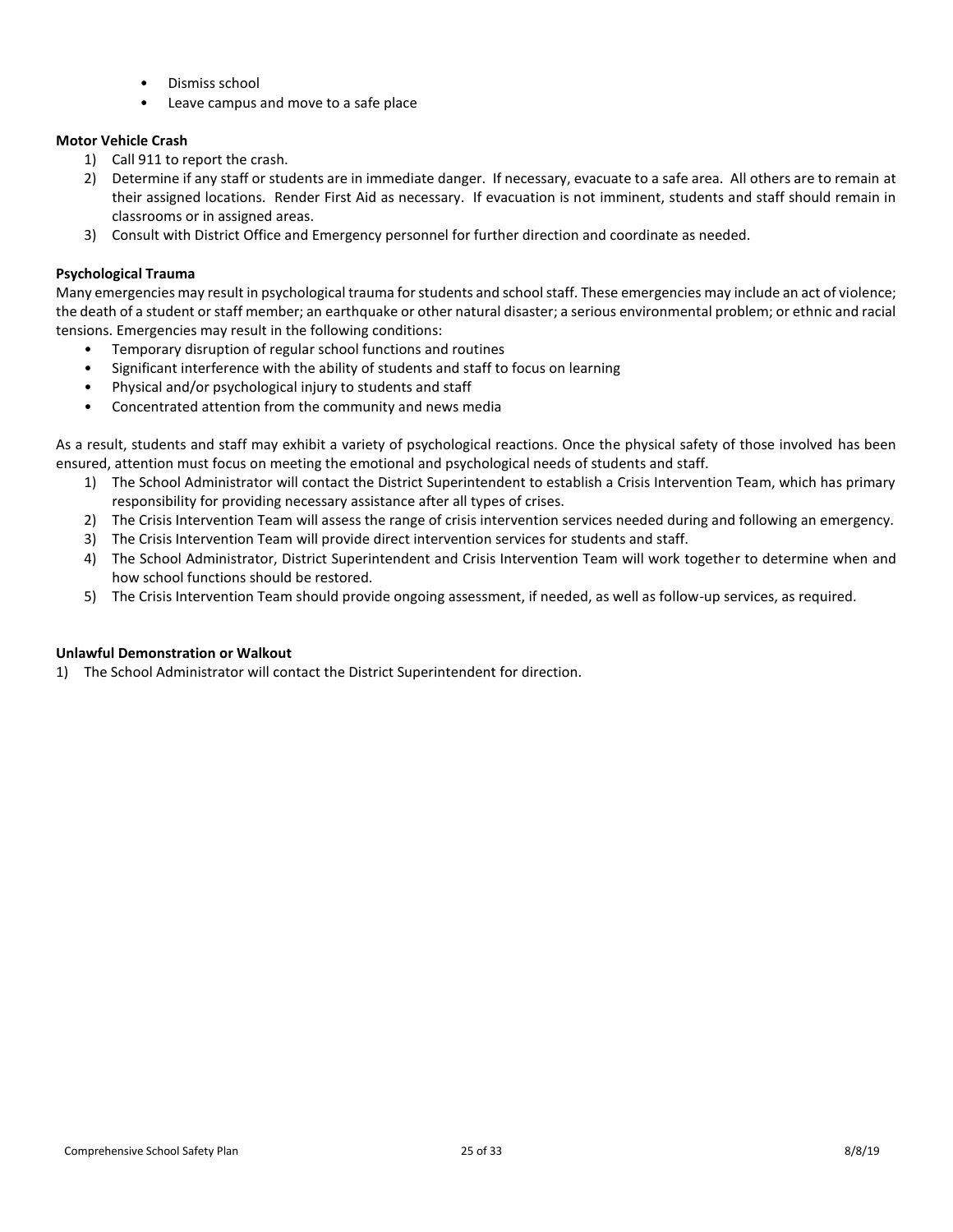- Dismiss school
- Leave campus and move to a safe place

## <span id="page-24-0"></span>**Motor Vehicle Crash**

- 1) Call 911 to report the crash.
- 2) Determine if any staff or students are in immediate danger. If necessary, evacuate to a safe area. All others are to remain at their assigned locations. Render First Aid as necessary. If evacuation is not imminent, students and staff should remain in classrooms or in assigned areas.
- 3) Consult with District Office and Emergency personnel for further direction and coordinate as needed.

## <span id="page-24-1"></span>**Psychological Trauma**

Many emergencies may result in psychological trauma for students and school staff. These emergencies may include an act of violence; the death of a student or staff member; an earthquake or other natural disaster; a serious environmental problem; or ethnic and racial tensions. Emergencies may result in the following conditions:

- Temporary disruption of regular school functions and routines
- Significant interference with the ability of students and staff to focus on learning
- Physical and/or psychological injury to students and staff
- Concentrated attention from the community and news media

As a result, students and staff may exhibit a variety of psychological reactions. Once the physical safety of those involved has been ensured, attention must focus on meeting the emotional and psychological needs of students and staff.

- 1) The School Administrator will contact the District Superintendent to establish a Crisis Intervention Team, which has primary responsibility for providing necessary assistance after all types of crises.
- 2) The Crisis Intervention Team will assess the range of crisis intervention services needed during and following an emergency.
- 3) The Crisis Intervention Team will provide direct intervention services for students and staff.
- 4) The School Administrator, District Superintendent and Crisis Intervention Team will work together to determine when and how school functions should be restored.
- 5) The Crisis Intervention Team should provide ongoing assessment, if needed, as well as follow-up services, as required.

## <span id="page-24-2"></span>**Unlawful Demonstration or Walkout**

1) The School Administrator will contact the District Superintendent for direction.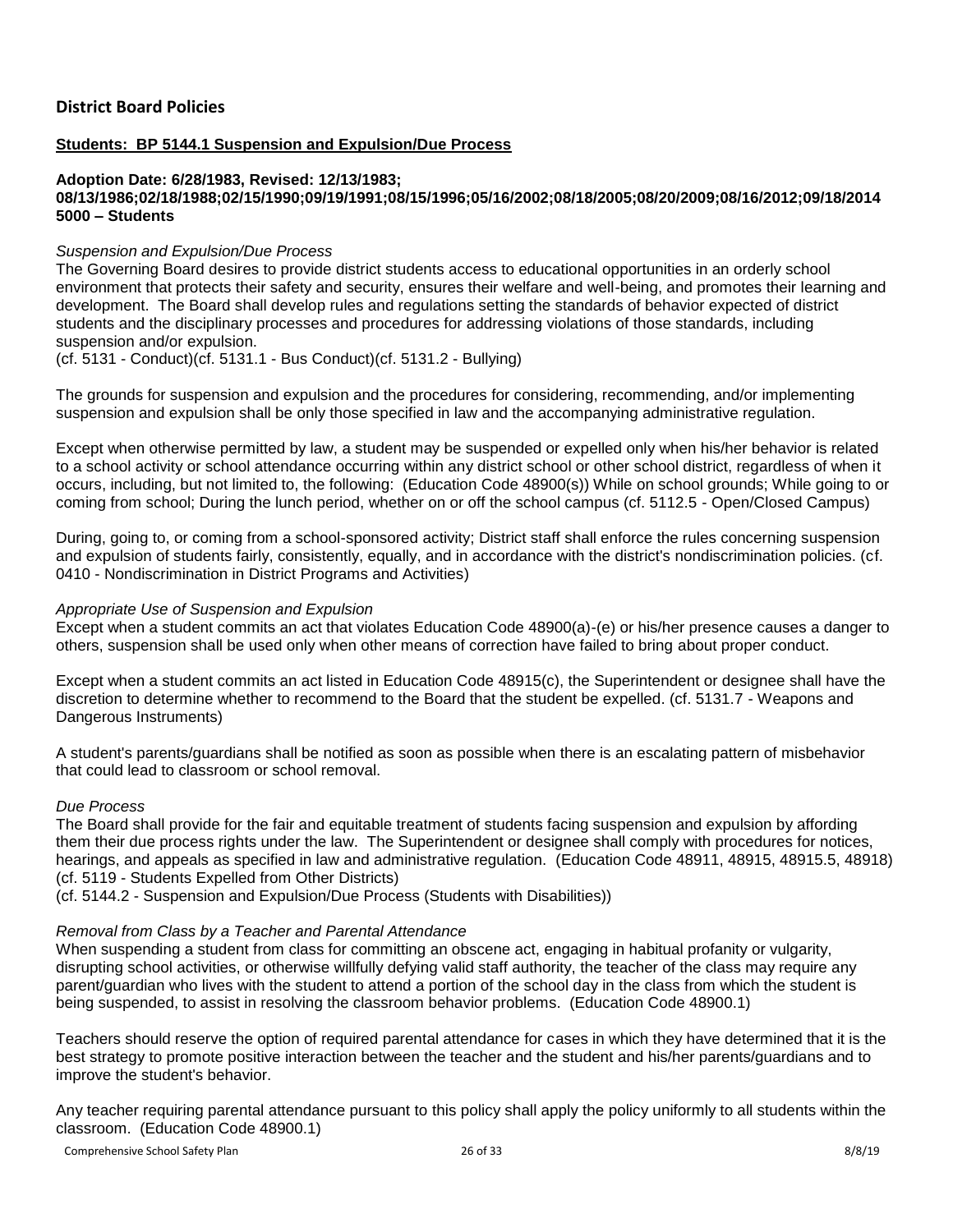## <span id="page-25-0"></span>**Students: BP 5144.1 Suspension and Expulsion/Due Process**

#### **Adoption Date: 6/28/1983, Revised: 12/13/1983; 08/13/1986;02/18/1988;02/15/1990;09/19/1991;08/15/1996;05/16/2002;08/18/2005;08/20/2009;08/16/2012;09/18/2014 5000 – Students**

## *Suspension and Expulsion/Due Process*

The Governing Board desires to provide district students access to educational opportunities in an orderly school environment that protects their safety and security, ensures their welfare and well-being, and promotes their learning and development. The Board shall develop rules and regulations setting the standards of behavior expected of district students and the disciplinary processes and procedures for addressing violations of those standards, including suspension and/or expulsion.

(cf. 5131 - Conduct)(cf. 5131.1 - Bus Conduct)(cf. 5131.2 - Bullying)

The grounds for suspension and expulsion and the procedures for considering, recommending, and/or implementing suspension and expulsion shall be only those specified in law and the accompanying administrative regulation.

Except when otherwise permitted by law, a student may be suspended or expelled only when his/her behavior is related to a school activity or school attendance occurring within any district school or other school district, regardless of when it occurs, including, but not limited to, the following: (Education Code 48900(s)) While on school grounds; While going to or coming from school; During the lunch period, whether on or off the school campus (cf. 5112.5 - Open/Closed Campus)

During, going to, or coming from a school-sponsored activity; District staff shall enforce the rules concerning suspension and expulsion of students fairly, consistently, equally, and in accordance with the district's nondiscrimination policies. (cf. 0410 - Nondiscrimination in District Programs and Activities)

## *Appropriate Use of Suspension and Expulsion*

Except when a student commits an act that violates Education Code 48900(a)-(e) or his/her presence causes a danger to others, suspension shall be used only when other means of correction have failed to bring about proper conduct.

Except when a student commits an act listed in Education Code 48915(c), the Superintendent or designee shall have the discretion to determine whether to recommend to the Board that the student be expelled. (cf. 5131.7 - Weapons and Dangerous Instruments)

A student's parents/guardians shall be notified as soon as possible when there is an escalating pattern of misbehavior that could lead to classroom or school removal.

## *Due Process*

The Board shall provide for the fair and equitable treatment of students facing suspension and expulsion by affording them their due process rights under the law. The Superintendent or designee shall comply with procedures for notices, hearings, and appeals as specified in law and administrative regulation. (Education Code 48911, 48915, 48915.5, 48918) (cf. 5119 - Students Expelled from Other Districts)

(cf. 5144.2 - Suspension and Expulsion/Due Process (Students with Disabilities))

## *Removal from Class by a Teacher and Parental Attendance*

When suspending a student from class for committing an obscene act, engaging in habitual profanity or vulgarity, disrupting school activities, or otherwise willfully defying valid staff authority, the teacher of the class may require any parent/guardian who lives with the student to attend a portion of the school day in the class from which the student is being suspended, to assist in resolving the classroom behavior problems. (Education Code 48900.1)

Teachers should reserve the option of required parental attendance for cases in which they have determined that it is the best strategy to promote positive interaction between the teacher and the student and his/her parents/guardians and to improve the student's behavior.

Any teacher requiring parental attendance pursuant to this policy shall apply the policy uniformly to all students within the classroom. (Education Code 48900.1)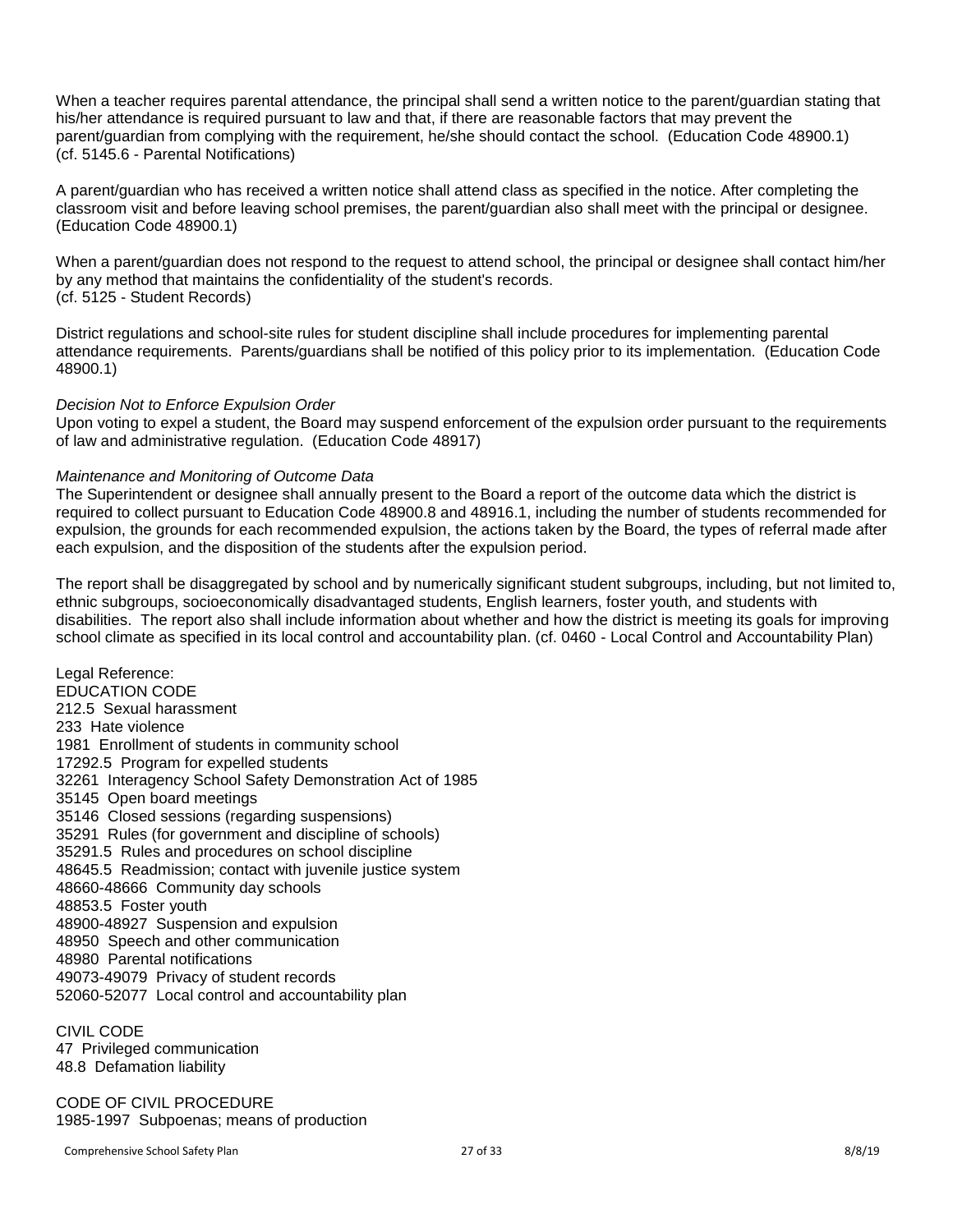When a teacher requires parental attendance, the principal shall send a written notice to the parent/guardian stating that his/her attendance is required pursuant to law and that, if there are reasonable factors that may prevent the parent/guardian from complying with the requirement, he/she should contact the school. (Education Code 48900.1) (cf. 5145.6 - Parental Notifications)

A parent/guardian who has received a written notice shall attend class as specified in the notice. After completing the classroom visit and before leaving school premises, the parent/guardian also shall meet with the principal or designee. (Education Code 48900.1)

When a parent/guardian does not respond to the request to attend school, the principal or designee shall contact him/her by any method that maintains the confidentiality of the student's records. (cf. 5125 - Student Records)

District regulations and school-site rules for student discipline shall include procedures for implementing parental attendance requirements. Parents/guardians shall be notified of this policy prior to its implementation. (Education Code 48900.1)

## *Decision Not to Enforce Expulsion Order*

Upon voting to expel a student, the Board may suspend enforcement of the expulsion order pursuant to the requirements of law and administrative regulation. (Education Code 48917)

#### *Maintenance and Monitoring of Outcome Data*

The Superintendent or designee shall annually present to the Board a report of the outcome data which the district is required to collect pursuant to Education Code 48900.8 and 48916.1, including the number of students recommended for expulsion, the grounds for each recommended expulsion, the actions taken by the Board, the types of referral made after each expulsion, and the disposition of the students after the expulsion period.

The report shall be disaggregated by school and by numerically significant student subgroups, including, but not limited to, ethnic subgroups, socioeconomically disadvantaged students, English learners, foster youth, and students with disabilities. The report also shall include information about whether and how the district is meeting its goals for improving school climate as specified in its local control and accountability plan. (cf. 0460 - Local Control and Accountability Plan)

Legal Reference: EDUCATION CODE 212.5 Sexual harassment 233 Hate violence 1981 Enrollment of students in community school 17292.5 Program for expelled students 32261 Interagency School Safety Demonstration Act of 1985 35145 Open board meetings 35146 Closed sessions (regarding suspensions) 35291 Rules (for government and discipline of schools) 35291.5 Rules and procedures on school discipline 48645.5 Readmission; contact with juvenile justice system 48660-48666 Community day schools 48853.5 Foster youth 48900-48927 Suspension and expulsion 48950 Speech and other communication 48980 Parental notifications 49073-49079 Privacy of student records 52060-52077 Local control and accountability plan

CIVIL CODE 47 Privileged communication 48.8 Defamation liability

CODE OF CIVIL PROCEDURE 1985-1997 Subpoenas; means of production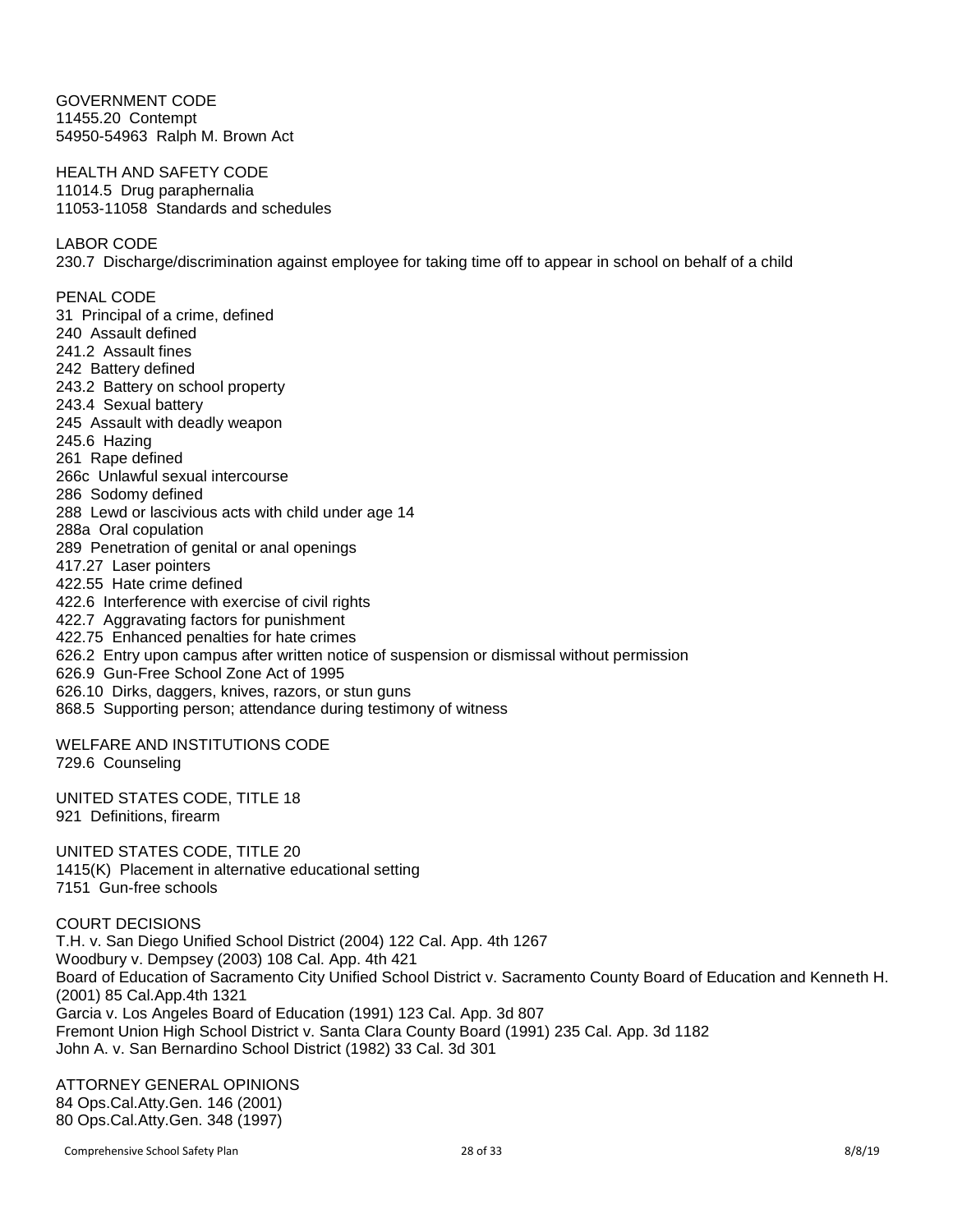GOVERNMENT CODE 11455.20 Contempt 54950-54963 Ralph M. Brown Act

HEALTH AND SAFETY CODE 11014.5 Drug paraphernalia 11053-11058 Standards and schedules

LABOR CODE

230.7 Discharge/discrimination against employee for taking time off to appear in school on behalf of a child

PENAL CODE 31 Principal of a crime, defined 240 Assault defined 241.2 Assault fines 242 Battery defined 243.2 Battery on school property 243.4 Sexual battery 245 Assault with deadly weapon 245.6 Hazing 261 Rape defined 266c Unlawful sexual intercourse 286 Sodomy defined 288 Lewd or lascivious acts with child under age 14 288a Oral copulation 289 Penetration of genital or anal openings 417.27 Laser pointers 422.55 Hate crime defined 422.6 Interference with exercise of civil rights 422.7 Aggravating factors for punishment 422.75 Enhanced penalties for hate crimes 626.2 Entry upon campus after written notice of suspension or dismissal without permission 626.9 Gun-Free School Zone Act of 1995 626.10 Dirks, daggers, knives, razors, or stun guns 868.5 Supporting person; attendance during testimony of witness

WELFARE AND INSTITUTIONS CODE 729.6 Counseling

UNITED STATES CODE, TITLE 18 921 Definitions, firearm

UNITED STATES CODE, TITLE 20 1415(K) Placement in alternative educational setting 7151 Gun-free schools

COURT DECISIONS T.H. v. San Diego Unified School District (2004) 122 Cal. App. 4th 1267 Woodbury v. Dempsey (2003) 108 Cal. App. 4th 421 Board of Education of Sacramento City Unified School District v. Sacramento County Board of Education and Kenneth H. (2001) 85 Cal.App.4th 1321 Garcia v. Los Angeles Board of Education (1991) 123 Cal. App. 3d 807 Fremont Union High School District v. Santa Clara County Board (1991) 235 Cal. App. 3d 1182 John A. v. San Bernardino School District (1982) 33 Cal. 3d 301

ATTORNEY GENERAL OPINIONS 84 Ops.Cal.Atty.Gen. 146 (2001) 80 Ops.Cal.Atty.Gen. 348 (1997)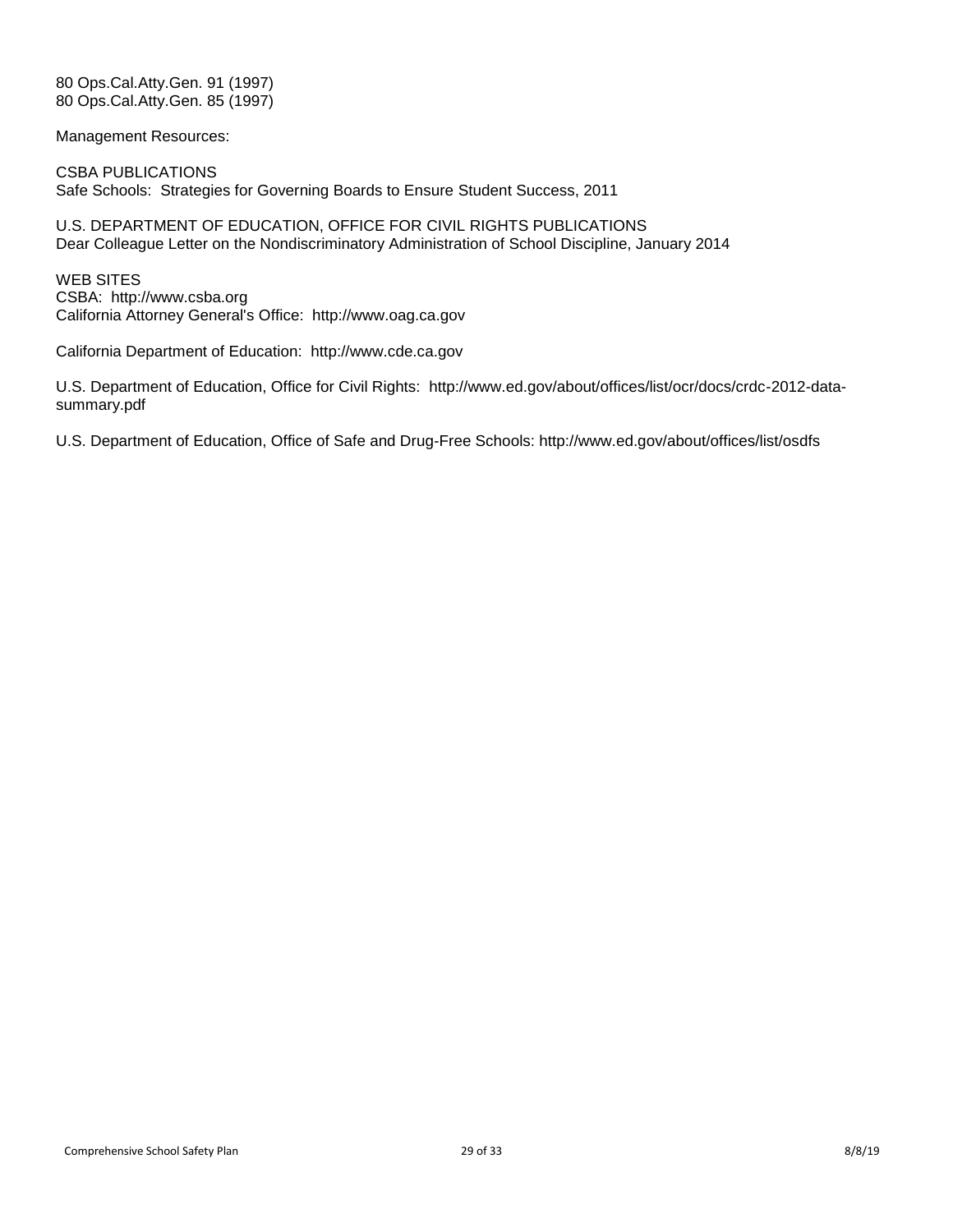80 Ops.Cal.Atty.Gen. 91 (1997) 80 Ops.Cal.Atty.Gen. 85 (1997)

Management Resources:

CSBA PUBLICATIONS Safe Schools: Strategies for Governing Boards to Ensure Student Success, 2011

U.S. DEPARTMENT OF EDUCATION, OFFICE FOR CIVIL RIGHTS PUBLICATIONS Dear Colleague Letter on the Nondiscriminatory Administration of School Discipline, January 2014

WEB SITES CSBA: http://www.csba.org California Attorney General's Office: http://www.oag.ca.gov

California Department of Education: http://www.cde.ca.gov

U.S. Department of Education, Office for Civil Rights: http://www.ed.gov/about/offices/list/ocr/docs/crdc-2012-datasummary.pdf

U.S. Department of Education, Office of Safe and Drug-Free Schools: http://www.ed.gov/about/offices/list/osdfs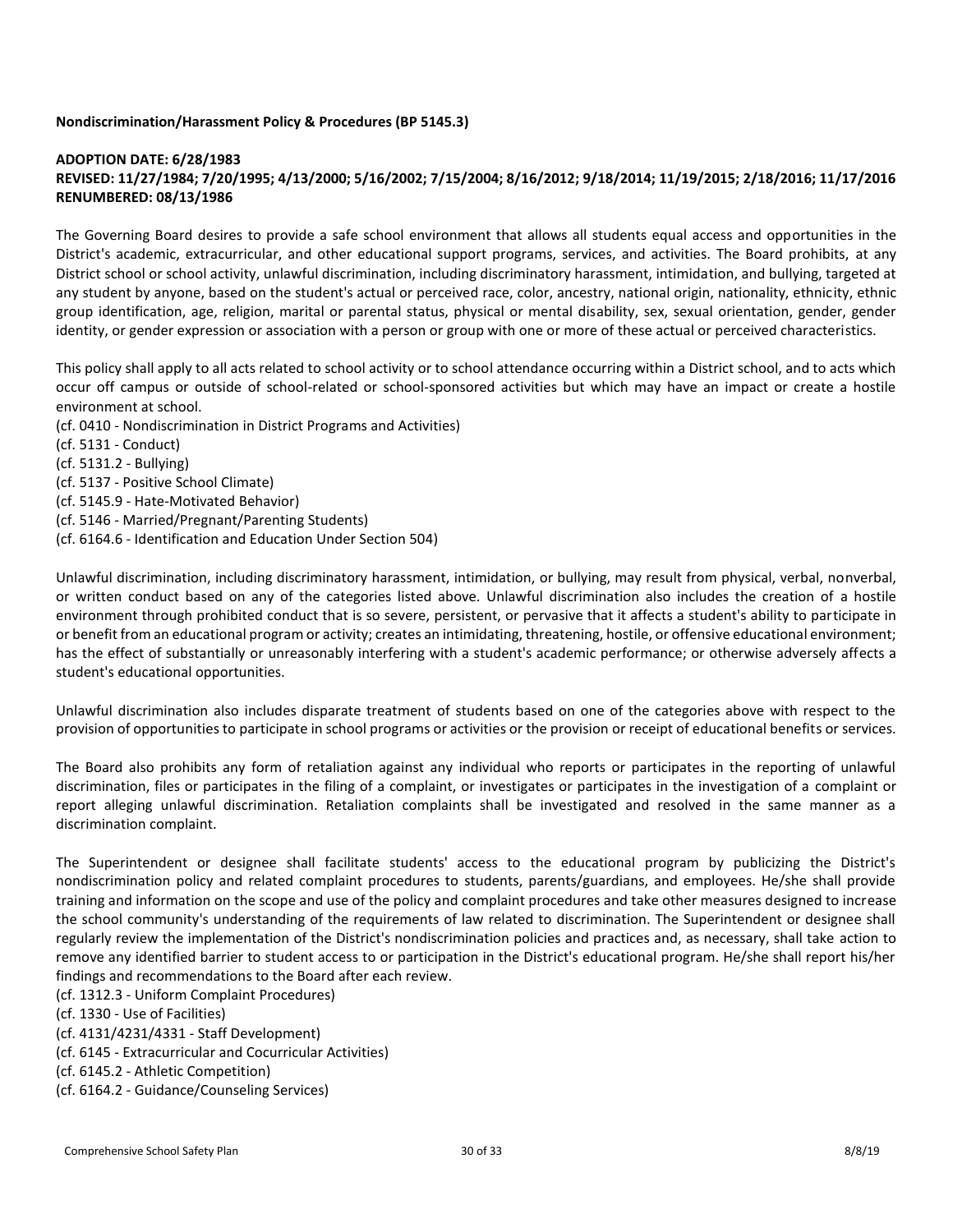## **Nondiscrimination/Harassment Policy & Procedures (BP 5145.3)**

## **ADOPTION DATE: 6/28/1983 REVISED: 11/27/1984; 7/20/1995; 4/13/2000; 5/16/2002; 7/15/2004; 8/16/2012; 9/18/2014; 11/19/2015; 2/18/2016; 11/17/2016 RENUMBERED: 08/13/1986**

The Governing Board desires to provide a safe school environment that allows all students equal access and opportunities in the District's academic, extracurricular, and other educational support programs, services, and activities. The Board prohibits, at any District school or school activity, unlawful discrimination, including discriminatory harassment, intimidation, and bullying, targeted at any student by anyone, based on the student's actual or perceived race, color, ancestry, national origin, nationality, ethnicity, ethnici group identification, age, religion, marital or parental status, physical or mental disability, sex, sexual orientation, gender, gender identity, or gender expression or association with a person or group with one or more of these actual or perceived characteristics.

This policy shall apply to all acts related to school activity or to school attendance occurring within a District school, and to acts which occur off campus or outside of school-related or school-sponsored activities but which may have an impact or create a hostile environment at school.

(cf. 0410 - Nondiscrimination in District Programs and Activities)

- (cf. 5131 Conduct)
- (cf. 5131.2 Bullying)
- (cf. 5137 Positive School Climate)
- (cf. 5145.9 Hate-Motivated Behavior)
- (cf. 5146 Married/Pregnant/Parenting Students)
- (cf. 6164.6 Identification and Education Under Section 504)

Unlawful discrimination, including discriminatory harassment, intimidation, or bullying, may result from physical, verbal, nonverbal, or written conduct based on any of the categories listed above. Unlawful discrimination also includes the creation of a hostile environment through prohibited conduct that is so severe, persistent, or pervasive that it affects a student's ability to participate in or benefit from an educational program or activity; creates an intimidating, threatening, hostile, or offensive educational environment; has the effect of substantially or unreasonably interfering with a student's academic performance; or otherwise adversely affects a student's educational opportunities.

Unlawful discrimination also includes disparate treatment of students based on one of the categories above with respect to the provision of opportunities to participate in school programs or activities or the provision or receipt of educational benefits or services.

The Board also prohibits any form of retaliation against any individual who reports or participates in the reporting of unlawful discrimination, files or participates in the filing of a complaint, or investigates or participates in the investigation of a complaint or report alleging unlawful discrimination. Retaliation complaints shall be investigated and resolved in the same manner as a discrimination complaint.

The Superintendent or designee shall facilitate students' access to the educational program by publicizing the District's nondiscrimination policy and related complaint procedures to students, parents/guardians, and employees. He/she shall provide training and information on the scope and use of the policy and complaint procedures and take other measures designed to increase the school community's understanding of the requirements of law related to discrimination. The Superintendent or designee shall regularly review the implementation of the District's nondiscrimination policies and practices and, as necessary, shall take action to remove any identified barrier to student access to or participation in the District's educational program. He/she shall report his/her findings and recommendations to the Board after each review.

(cf. 1312.3 - Uniform Complaint Procedures)

(cf. 1330 - Use of Facilities)

(cf. 4131/4231/4331 - Staff Development)

(cf. 6145 - Extracurricular and Cocurricular Activities)

(cf. 6145.2 - Athletic Competition)

(cf. 6164.2 - Guidance/Counseling Services)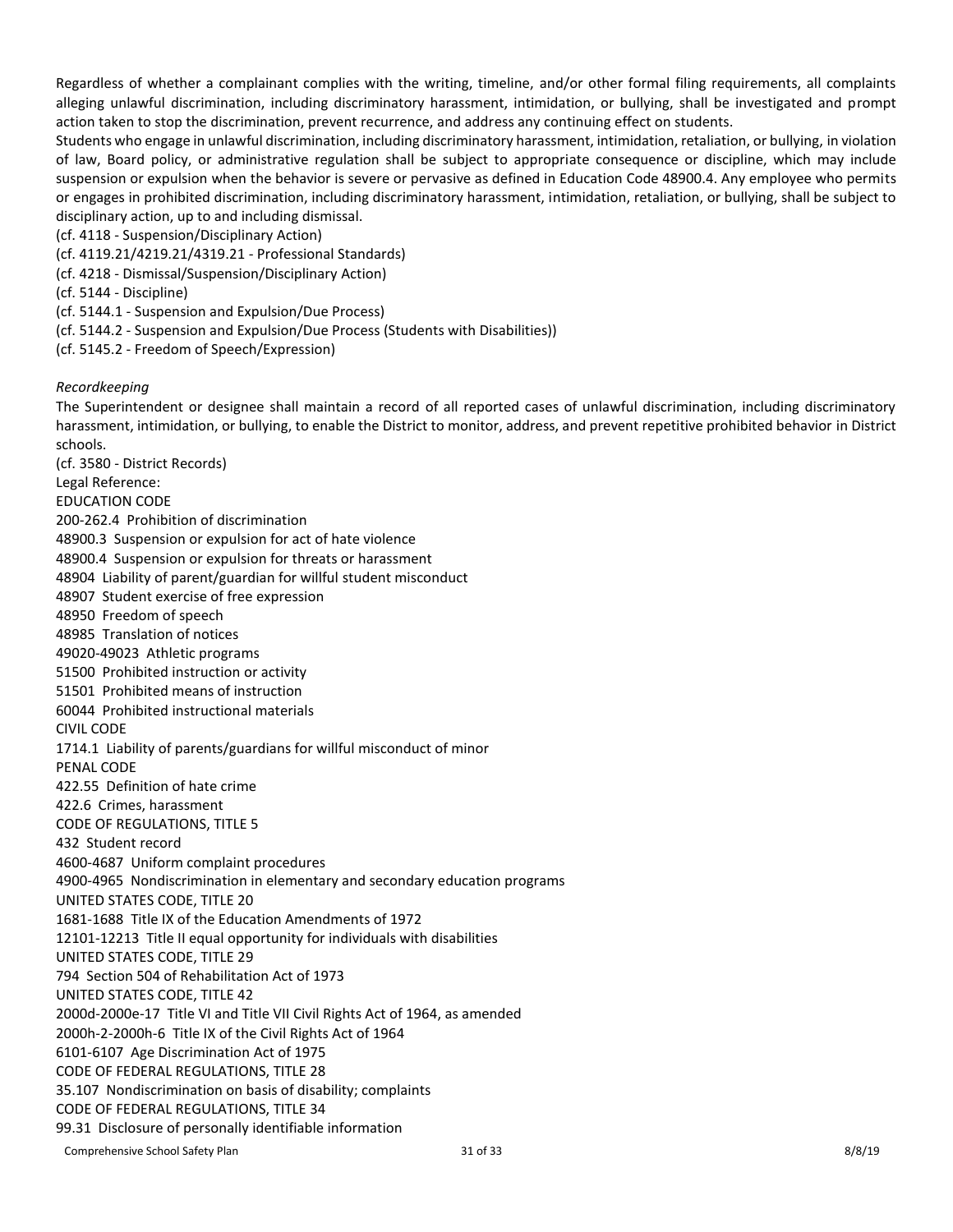Regardless of whether a complainant complies with the writing, timeline, and/or other formal filing requirements, all complaints alleging unlawful discrimination, including discriminatory harassment, intimidation, or bullying, shall be investigated and prompt action taken to stop the discrimination, prevent recurrence, and address any continuing effect on students.

Students who engage in unlawful discrimination, including discriminatory harassment, intimidation, retaliation, or bullying, in violation of law, Board policy, or administrative regulation shall be subject to appropriate consequence or discipline, which may include suspension or expulsion when the behavior is severe or pervasive as defined in Education Code 48900.4. Any employee who permits or engages in prohibited discrimination, including discriminatory harassment, intimidation, retaliation, or bullying, shall be subject to disciplinary action, up to and including dismissal.

(cf. 4118 - Suspension/Disciplinary Action)

- (cf. 4119.21/4219.21/4319.21 Professional Standards)
- (cf. 4218 Dismissal/Suspension/Disciplinary Action)

(cf. 5144 - Discipline)

- (cf. 5144.1 Suspension and Expulsion/Due Process)
- (cf. 5144.2 Suspension and Expulsion/Due Process (Students with Disabilities))
- (cf. 5145.2 Freedom of Speech/Expression)

#### *Recordkeeping*

The Superintendent or designee shall maintain a record of all reported cases of unlawful discrimination, including discriminatory harassment, intimidation, or bullying, to enable the District to monitor, address, and prevent repetitive prohibited behavior in District schools. (cf. 3580 - District Records)

Legal Reference:

EDUCATION CODE

200-262.4 Prohibition of discrimination

48900.3 Suspension or expulsion for act of hate violence

48900.4 Suspension or expulsion for threats or harassment

- 48904 Liability of parent/guardian for willful student misconduct
- 48907 Student exercise of free expression
- 48950 Freedom of speech
- 48985 Translation of notices
- 49020-49023 Athletic programs
- 51500 Prohibited instruction or activity
- 51501 Prohibited means of instruction
- 60044 Prohibited instructional materials

#### CIVIL CODE

1714.1 Liability of parents/guardians for willful misconduct of minor

PENAL CODE

422.55 Definition of hate crime

422.6 Crimes, harassment

CODE OF REGULATIONS, TITLE 5

432 Student record

4600-4687 Uniform complaint procedures

4900-4965 Nondiscrimination in elementary and secondary education programs

UNITED STATES CODE, TITLE 20

1681-1688 Title IX of the Education Amendments of 1972

12101-12213 Title II equal opportunity for individuals with disabilities

UNITED STATES CODE, TITLE 29

794 Section 504 of Rehabilitation Act of 1973

UNITED STATES CODE, TITLE 42

2000d-2000e-17 Title VI and Title VII Civil Rights Act of 1964, as amended

2000h-2-2000h-6 Title IX of the Civil Rights Act of 1964

6101-6107 Age Discrimination Act of 1975

CODE OF FEDERAL REGULATIONS, TITLE 28

35.107 Nondiscrimination on basis of disability; complaints

CODE OF FEDERAL REGULATIONS, TITLE 34

99.31 Disclosure of personally identifiable information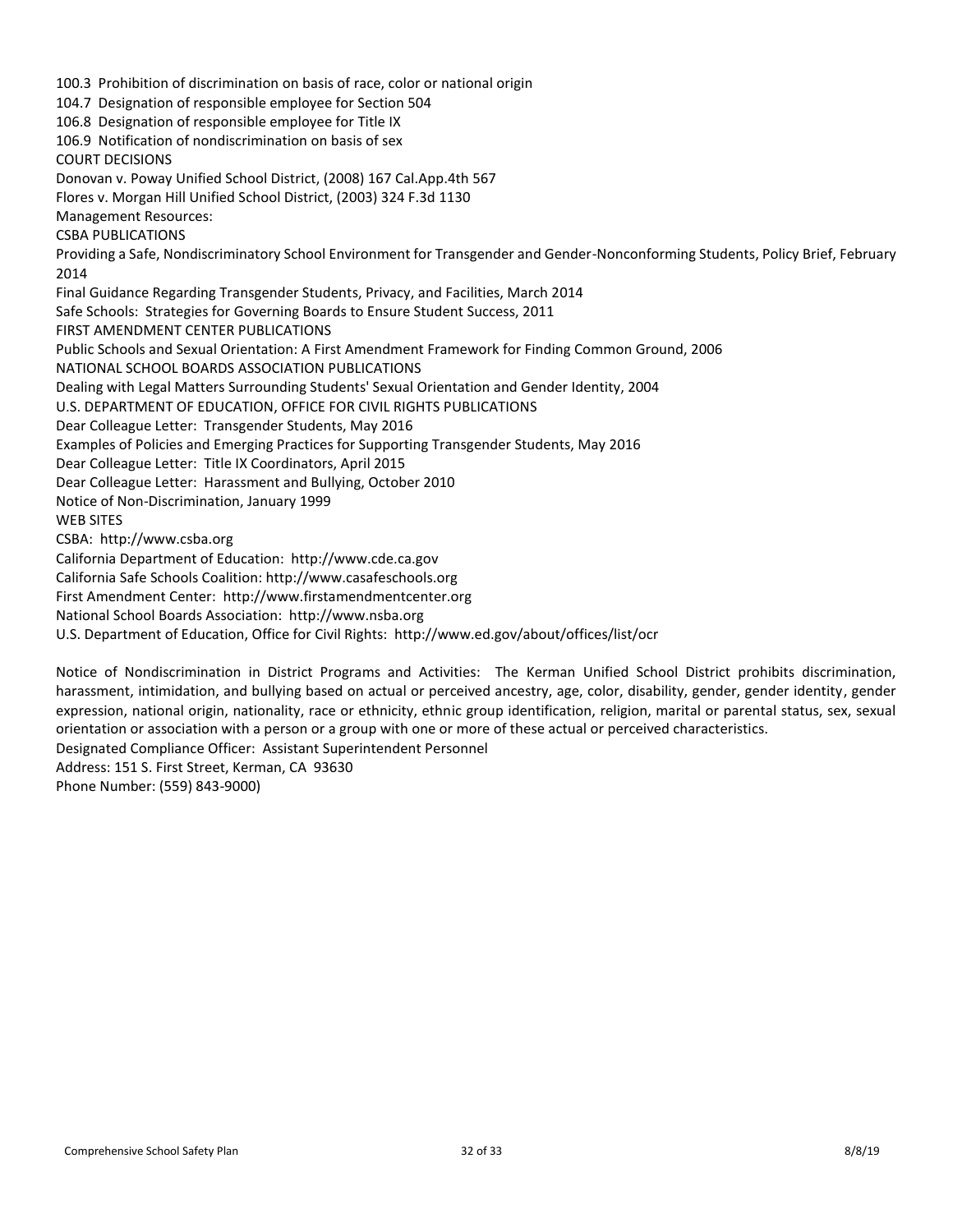100.3 Prohibition of discrimination on basis of race, color or national origin 104.7 Designation of responsible employee for Section 504 106.8 Designation of responsible employee for Title IX 106.9 Notification of nondiscrimination on basis of sex COURT DECISIONS Donovan v. Poway Unified School District, (2008) 167 Cal.App.4th 567 Flores v. Morgan Hill Unified School District, (2003) 324 F.3d 1130 Management Resources: CSBA PUBLICATIONS Providing a Safe, Nondiscriminatory School Environment for Transgender and Gender-Nonconforming Students, Policy Brief, February 2014 Final Guidance Regarding Transgender Students, Privacy, and Facilities, March 2014 Safe Schools: Strategies for Governing Boards to Ensure Student Success, 2011 FIRST AMENDMENT CENTER PUBLICATIONS Public Schools and Sexual Orientation: A First Amendment Framework for Finding Common Ground, 2006 NATIONAL SCHOOL BOARDS ASSOCIATION PUBLICATIONS Dealing with Legal Matters Surrounding Students' Sexual Orientation and Gender Identity, 2004 U.S. DEPARTMENT OF EDUCATION, OFFICE FOR CIVIL RIGHTS PUBLICATIONS Dear Colleague Letter: Transgender Students, May 2016 Examples of Policies and Emerging Practices for Supporting Transgender Students, May 2016 Dear Colleague Letter: Title IX Coordinators, April 2015 Dear Colleague Letter: Harassment and Bullying, October 2010 Notice of Non-Discrimination, January 1999 WEB SITES CSBA: http://www.csba.org California Department of Education: http://www.cde.ca.gov California Safe Schools Coalition: http://www.casafeschools.org First Amendment Center: http://www.firstamendmentcenter.org National School Boards Association: http://www.nsba.org U.S. Department of Education, Office for Civil Rights: http://www.ed.gov/about/offices/list/ocr

Notice of Nondiscrimination in District Programs and Activities: The Kerman Unified School District prohibits discrimination, harassment, intimidation, and bullying based on actual or perceived ancestry, age, color, disability, gender, gender identity, gender expression, national origin, nationality, race or ethnicity, ethnic group identification, religion, marital or parental status, sex, sexual orientation or association with a person or a group with one or more of these actual or perceived characteristics.

Designated Compliance Officer: Assistant Superintendent Personnel

Address: 151 S. First Street, Kerman, CA 93630 Phone Number: (559) 843-9000)